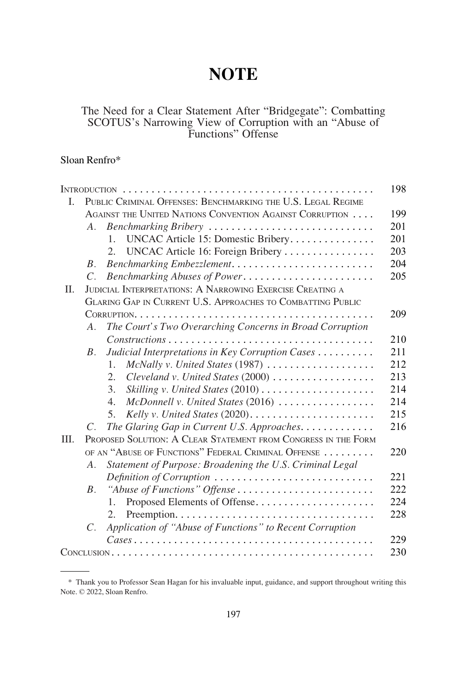# **NOTE**

# The Need for a Clear Statement After "Bridgegate": Combatting SCOTUS's Narrowing View of Corruption with an "Abuse of Functions" Offense

# Sloan Renfro\*

|      |                                                                |                                                              | 198 |
|------|----------------------------------------------------------------|--------------------------------------------------------------|-----|
| L    |                                                                | PUBLIC CRIMINAL OFFENSES: BENCHMARKING THE U.S. LEGAL REGIME |     |
|      |                                                                | AGAINST THE UNITED NATIONS CONVENTION AGAINST CORRUPTION     | 199 |
|      | A.                                                             | Benchmarking Bribery                                         | 201 |
|      |                                                                | UNCAC Article 15: Domestic Bribery<br>$1_{-}$                | 201 |
|      |                                                                | UNCAC Article 16: Foreign Bribery<br>$\mathfrak{2}$ .        | 203 |
|      | $B_{\cdot}$                                                    | Benchmarking Embezzlement                                    | 204 |
|      | $C_{\cdot}$                                                    | Benchmarking Abuses of Power                                 | 205 |
| Π.   | JUDICIAL INTERPRETATIONS: A NARROWING EXERCISE CREATING A      |                                                              |     |
|      | GLARING GAP IN CURRENT U.S. APPROACHES TO COMBATTING PUBLIC    |                                                              |     |
|      |                                                                |                                                              | 209 |
|      | $A_{\cdot}$                                                    | The Court's Two Overarching Concerns in Broad Corruption     |     |
|      |                                                                |                                                              | 210 |
|      | $B_{-}$                                                        | Judicial Interpretations in Key Corruption Cases             | 211 |
|      |                                                                | $\mathbf{1}$ .                                               | 212 |
|      |                                                                | 2.                                                           | 213 |
|      |                                                                | 3.                                                           | 214 |
|      |                                                                | McDonnell v. United States (2016)<br>$\overline{4}$ .        | 214 |
|      |                                                                | 5.                                                           | 215 |
|      | $C_{\cdot}$                                                    | The Glaring Gap in Current U.S. Approaches.                  | 216 |
| III. | PROPOSED SOLUTION: A CLEAR STATEMENT FROM CONGRESS IN THE FORM |                                                              |     |
|      |                                                                | OF AN "ABUSE OF FUNCTIONS" FEDERAL CRIMINAL OFFENSE          | 220 |
|      | $A_{\cdot}$                                                    | Statement of Purpose: Broadening the U.S. Criminal Legal     |     |
|      |                                                                | Definition of Corruption                                     | 221 |
|      | $B_{\cdot}$                                                    | "Abuse of Functions" Offense                                 | 222 |
|      |                                                                | Proposed Elements of Offense<br>$1_{-}$                      | 224 |
|      |                                                                | 2.                                                           | 228 |
|      | $C$ .                                                          | Application of "Abuse of Functions" to Recent Corruption     |     |
|      |                                                                |                                                              | 229 |
|      |                                                                |                                                              | 230 |

<sup>\*</sup> Thank you to Professor Sean Hagan for his invaluable input, guidance, and support throughout writing this Note. © 2022, Sloan Renfro.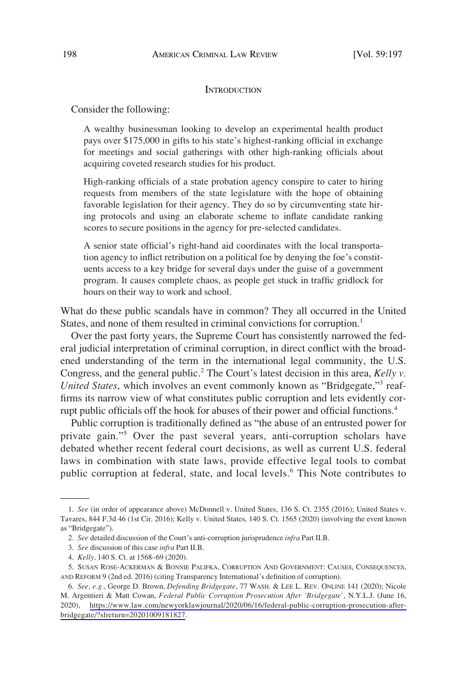#### **INTRODUCTION**

<span id="page-1-0"></span>Consider the following:

A wealthy businessman looking to develop an experimental health product pays over \$175,000 in gifts to his state's highest-ranking official in exchange for meetings and social gatherings with other high-ranking officials about acquiring coveted research studies for his product.

High-ranking officials of a state probation agency conspire to cater to hiring requests from members of the state legislature with the hope of obtaining favorable legislation for their agency. They do so by circumventing state hiring protocols and using an elaborate scheme to inflate candidate ranking scores to secure positions in the agency for pre-selected candidates.

A senior state official's right-hand aid coordinates with the local transportation agency to inflict retribution on a political foe by denying the foe's constituents access to a key bridge for several days under the guise of a government program. It causes complete chaos, as people get stuck in traffic gridlock for hours on their way to work and school.

What do these public scandals have in common? They all occurred in the United States, and none of them resulted in criminal convictions for corruption.<sup>1</sup>

Over the past forty years, the Supreme Court has consistently narrowed the federal judicial interpretation of criminal corruption, in direct conflict with the broadened understanding of the term in the international legal community, the U.S. Congress, and the general public.<sup>2</sup> The Court's latest decision in this area, *Kelly v*. *United States*, which involves an event commonly known as "Bridgegate,"<sup>3</sup> reaffirms its narrow view of what constitutes public corruption and lets evidently corrupt public officials off the hook for abuses of their power and official functions.<sup>4</sup>

Public corruption is traditionally defined as "the abuse of an entrusted power for private gain."5 Over the past several years, anti-corruption scholars have debated whether recent federal court decisions, as well as current U.S. federal laws in combination with state laws, provide effective legal tools to combat public corruption at federal, state, and local levels.<sup>6</sup> This Note contributes to

<sup>1.</sup> *See* (in order of appearance above) McDonnell v. United States, 136 S. Ct. 2355 (2016); United States v. Tavares, 844 F.3d 46 (1st Cir. 2016); Kelly v. United States, 140 S. Ct. 1565 (2020) (involving the event known as "Bridgegate").

<sup>2.</sup> *See* detailed discussion of the Court's anti-corruption jurisprudence *infra* Part II.B.

<sup>3.</sup> *See* discussion of this case *infra* Part II.B.

<sup>4.</sup> *Kelly,* 140 S. Ct. at 1568–69 (2020).

<sup>5.</sup> SUSAN ROSE-ACKERMAN & BONNIE PALIFKA, CORRUPTION AND GOVERNMENT: CAUSES, CONSEQUENCES, AND REFORM 9 (2nd ed. 2016) (citing Transparency International's definition of corruption).

*See, e.g.*, George D. Brown, *Defending Bridgegate*, 77 WASH. & LEE L. REV. ONLINE 141 (2020); Nicole 6. M. Argentieri & Matt Cowan, *Federal Public Corruption Prosecution After 'Bridgegate'*, N.Y.L.J. (June 16, 2020), [https://www.law.com/newyorklawjournal/2020/06/16/federal-public-corruption-prosecution-after](https://www.law.com/newyorklawjournal/2020/06/16/federal-public-corruption-prosecution-after-bridgegate/?slreturn=20201009181827)[bridgegate/?slreturn=20201009181827.](https://www.law.com/newyorklawjournal/2020/06/16/federal-public-corruption-prosecution-after-bridgegate/?slreturn=20201009181827)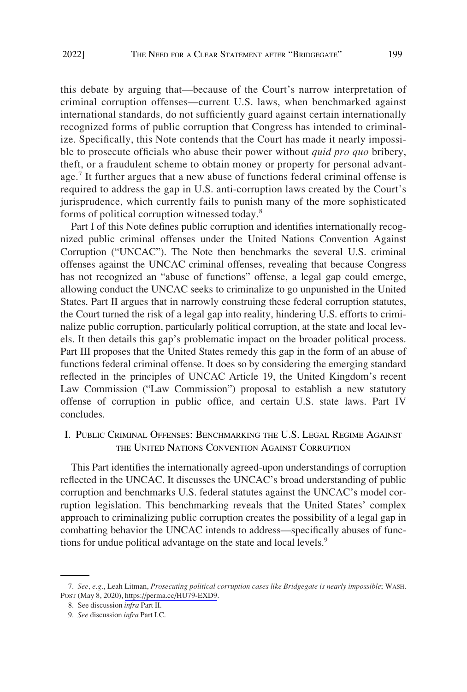<span id="page-2-0"></span>this debate by arguing that—because of the Court's narrow interpretation of criminal corruption offenses—current U.S. laws, when benchmarked against international standards, do not sufficiently guard against certain internationally recognized forms of public corruption that Congress has intended to criminalize. Specifically, this Note contends that the Court has made it nearly impossible to prosecute officials who abuse their power without *quid pro quo* bribery, theft, or a fraudulent scheme to obtain money or property for personal advantage.<sup>7</sup> It further argues that a new abuse of functions federal criminal offense is required to address the gap in U.S. anti-corruption laws created by the Court's jurisprudence, which currently fails to punish many of the more sophisticated forms of political corruption witnessed today.<sup>8</sup>

Part I of this Note defines public corruption and identifies internationally recognized public criminal offenses under the United Nations Convention Against Corruption ("UNCAC"). The Note then benchmarks the several U.S. criminal offenses against the UNCAC criminal offenses, revealing that because Congress has not recognized an "abuse of functions" offense, a legal gap could emerge, allowing conduct the UNCAC seeks to criminalize to go unpunished in the United States. Part II argues that in narrowly construing these federal corruption statutes, the Court turned the risk of a legal gap into reality, hindering U.S. efforts to criminalize public corruption, particularly political corruption, at the state and local levels. It then details this gap's problematic impact on the broader political process. Part III proposes that the United States remedy this gap in the form of an abuse of functions federal criminal offense. It does so by considering the emerging standard reflected in the principles of UNCAC Article 19, the United Kingdom's recent Law Commission ("Law Commission") proposal to establish a new statutory offense of corruption in public office, and certain U.S. state laws. Part IV concludes.

# I. PUBLIC CRIMINAL OFFENSES: BENCHMARKING THE U.S. LEGAL REGIME AGAINST THE UNITED NATIONS CONVENTION AGAINST CORRUPTION

This Part identifies the internationally agreed-upon understandings of corruption reflected in the UNCAC. It discusses the UNCAC's broad understanding of public corruption and benchmarks U.S. federal statutes against the UNCAC's model corruption legislation. This benchmarking reveals that the United States' complex approach to criminalizing public corruption creates the possibility of a legal gap in combatting behavior the UNCAC intends to address—specifically abuses of functions for undue political advantage on the state and local levels.<sup>9</sup>

*See, e.g.*, Leah Litman, *Prosecuting political corruption cases like Bridgegate is nearly impossible*; WASH. 7. POST (May 8, 2020), <https://perma.cc/HU79-EXD9>.

<sup>8.</sup> See discussion *infra* Part II.

<sup>9.</sup> *See* discussion *infra* Part I.C.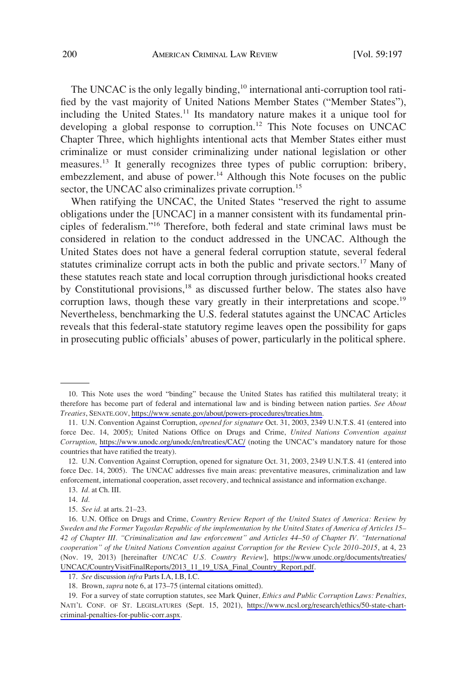The UNCAC is the only legally binding,<sup>10</sup> international anti-corruption tool ratified by the vast majority of United Nations Member States ("Member States"), including the United States.<sup>11</sup> Its mandatory nature makes it a unique tool for developing a global response to corruption.<sup>12</sup> This Note focuses on UNCAC Chapter Three, which highlights intentional acts that Member States either must criminalize or must consider criminalizing under national legislation or other measures.<sup>13</sup> It generally recognizes three types of public corruption: bribery, embezzlement, and abuse of power. $14$  Although this Note focuses on the public sector, the UNCAC also criminalizes private corruption.<sup>15</sup>

When ratifying the UNCAC, the United States "reserved the right to assume obligations under the [UNCAC] in a manner consistent with its fundamental principles of federalism."<sup>16</sup> Therefore, both federal and state criminal laws must be considered in relation to the conduct addressed in the UNCAC. Although the United States does not have a general federal corruption statute, several federal statutes criminalize corrupt acts in both the public and private sectors.<sup>17</sup> Many of these statutes reach state and local corruption through jurisdictional hooks created by Constitutional provisions,<sup>18</sup> as discussed further below. The states also have corruption laws, though these vary greatly in their interpretations and scope.<sup>19</sup> Nevertheless, benchmarking the U.S. federal statutes against the UNCAC Articles reveals that this federal-state statutory regime leaves open the possibility for gaps in prosecuting public officials' abuses of power, particularly in the political sphere.

<sup>10.</sup> This Note uses the word "binding" because the United States has ratified this multilateral treaty; it therefore has become part of federal and international law and is binding between nation parties. *See About Treaties*, SENATE.GOV,<https://www.senate.gov/about/powers-procedures/treaties.htm>.

U.N. Convention Against Corruption, *opened for signature* Oct. 31, 2003, 2349 U.N.T.S. 41 (entered into 11. force Dec. 14, 2005); United Nations Office on Drugs and Crime, *United Nations Convention against Corruption*, <https://www.unodc.org/unodc/en/treaties/CAC/> (noting the UNCAC's mandatory nature for those countries that have ratified the treaty).

<sup>12.</sup> U.N. Convention Against Corruption, opened for signature Oct. 31, 2003, 2349 U.N.T.S. 41 (entered into force Dec. 14, 2005). The UNCAC addresses five main areas: preventative measures, criminalization and law enforcement, international cooperation, asset recovery, and technical assistance and information exchange.

<sup>13.</sup> *Id.* at Ch. III.

<sup>14.</sup> *Id.* 

<sup>15.</sup> *See id.* at arts. 21–23.

U.N. Office on Drugs and Crime, *Country Review Report of the United States of America: Review by*  16. *Sweden and the Former Yugoslav Republic of the implementation by the United States of America of Articles 15– 42 of Chapter III. "Criminalization and law enforcement" and Articles 44–50 of Chapter IV. "International cooperation" of the United Nations Convention against Corruption for the Review Cycle 2010–2015*, at 4, 23 (Nov. 19, 2013) [hereinafter *UNCAC U.S. Country Review*], [https://www.unodc.org/documents/treaties/](https://www.unodc.org/documents/treaties/UNCAC/CountryVisitFinalReports/2013_11_19_USA_Final_Country_Report.pdf) [UNCAC/CountryVisitFinalReports/2013\\_11\\_19\\_USA\\_Final\\_Country\\_Report.pdf](https://www.unodc.org/documents/treaties/UNCAC/CountryVisitFinalReports/2013_11_19_USA_Final_Country_Report.pdf).

<sup>17.</sup> *See* discussion *infra* Parts I.A, I.B, I.C.

<sup>18.</sup> Brown, *supra* note 6, at 173–75 (internal citations omitted).

<sup>19.</sup> For a survey of state corruption statutes, see Mark Quiner, *Ethics and Public Corruption Laws: Penalties*, NATI'L CONF. OF ST. LEGISLATURES (Sept. 15, 2021), [https://www.ncsl.org/research/ethics/50-state-chart](https://www.ncsl.org/research/ethics/50-state-chart-criminal-penalties-for-public-corr.aspx)[criminal-penalties-for-public-corr.aspx.](https://www.ncsl.org/research/ethics/50-state-chart-criminal-penalties-for-public-corr.aspx)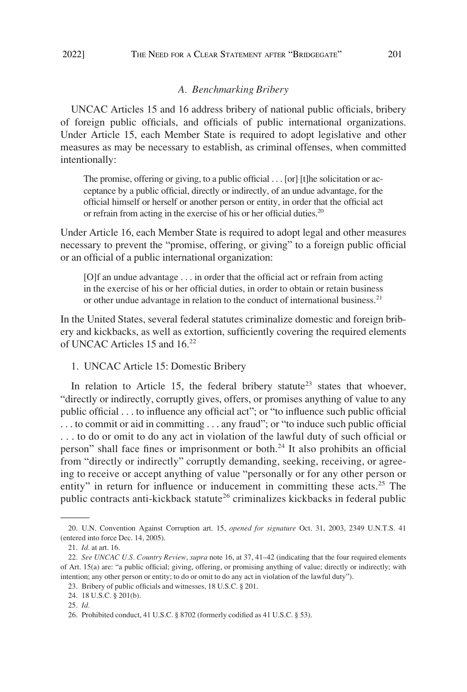#### <span id="page-4-0"></span>2022] THE NEED FOR A CLEAR STATEMENT AFTER "BRIDGEGATE" 201

## *A. Benchmarking Bribery*

UNCAC Articles 15 and 16 address bribery of national public officials, bribery of foreign public officials, and officials of public international organizations. Under Article 15, each Member State is required to adopt legislative and other measures as may be necessary to establish, as criminal offenses, when committed intentionally:

The promise, offering or giving, to a public official . . . [or] [t]he solicitation or acceptance by a public official, directly or indirectly, of an undue advantage, for the official himself or herself or another person or entity, in order that the official act or refrain from acting in the exercise of his or her official duties.<sup>20</sup>

Under Article 16, each Member State is required to adopt legal and other measures necessary to prevent the "promise, offering, or giving" to a foreign public official or an official of a public international organization:

[O]f an undue advantage . . . in order that the official act or refrain from acting in the exercise of his or her official duties, in order to obtain or retain business or other undue advantage in relation to the conduct of international business.<sup>21</sup>

In the United States, several federal statutes criminalize domestic and foreign bribery and kickbacks, as well as extortion, sufficiently covering the required elements of UNCAC Articles 15 and 16.22

1. UNCAC Article 15: Domestic Bribery

In relation to Article 15, the federal bribery statute<sup>23</sup> states that whoever, "directly or indirectly, corruptly gives, offers, or promises anything of value to any public official . . . to influence any official act"; or "to influence such public official . . . to commit or aid in committing . . . any fraud"; or "to induce such public official . . . to do or omit to do any act in violation of the lawful duty of such official or person" shall face fines or imprisonment or both.<sup>24</sup> It also prohibits an official from "directly or indirectly" corruptly demanding, seeking, receiving, or agreeing to receive or accept anything of value "personally or for any other person or entity" in return for influence or inducement in committing these acts.<sup>25</sup> The public contracts anti-kickback statute<sup>26</sup> criminalizes kickbacks in federal public

<sup>20.</sup> U.N. Convention Against Corruption art. 15, *opened for signature* Oct. 31, 2003, 2349 U.N.T.S. 41 (entered into force Dec. 14, 2005).

<sup>21.</sup> *Id.* at art. 16.

<sup>22.</sup> *See UNCAC U.S. Country Review*, *supra* note 16, at 37, 41–42 (indicating that the four required elements of Art. 15(a) are: "a public official; giving, offering, or promising anything of value; directly or indirectly; with intention; any other person or entity; to do or omit to do any act in violation of the lawful duty").

<sup>23.</sup> Bribery of public officials and witnesses, 18 U.S.C. § 201.

<sup>24. 18</sup> U.S.C. § 201(b).

<sup>25.</sup> *Id.* 

<sup>26.</sup> Prohibited conduct, 41 U.S.C. § 8702 (formerly codified as 41 U.S.C. § 53).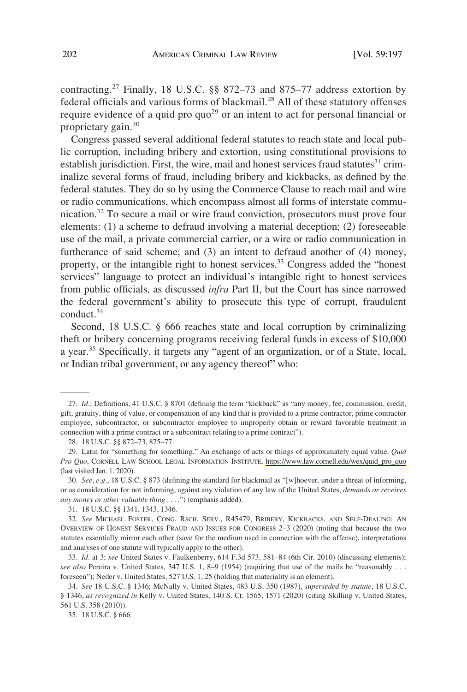contracting.<sup>27</sup> Finally, 18 U.S.C. §§ 872–73 and 875–77 address extortion by federal officials and various forms of blackmail.28 All of these statutory offenses require evidence of a quid pro  $q\omega^{29}$  or an intent to act for personal financial or proprietary gain.<sup>30</sup>

Congress passed several additional federal statutes to reach state and local public corruption, including bribery and extortion, using constitutional provisions to establish jurisdiction. First, the wire, mail and honest services fraud statutes $31$  criminalize several forms of fraud, including bribery and kickbacks, as defined by the federal statutes. They do so by using the Commerce Clause to reach mail and wire or radio communications, which encompass almost all forms of interstate communication.32 To secure a mail or wire fraud conviction, prosecutors must prove four elements: (1) a scheme to defraud involving a material deception; (2) foreseeable use of the mail, a private commercial carrier, or a wire or radio communication in furtherance of said scheme; and (3) an intent to defraud another of (4) money, property, or the intangible right to honest services.<sup>33</sup> Congress added the "honest" services" language to protect an individual's intangible right to honest services from public officials, as discussed *infra* Part II, but the Court has since narrowed the federal government's ability to prosecute this type of corrupt, fraudulent conduct.34

Second, 18 U.S.C. § 666 reaches state and local corruption by criminalizing theft or bribery concerning programs receiving federal funds in excess of \$10,000 a year.<sup>35</sup> Specifically, it targets any "agent of an organization, or of a State, local, or Indian tribal government, or any agency thereof" who:

<sup>27.</sup> *Id.*; Definitions, 41 U.S.C. § 8701 (defining the term "kickback" as "any money, fee, commission, credit, gift, gratuity, thing of value, or compensation of any kind that is provided to a prime contractor, prime contractor employee, subcontractor, or subcontractor employee to improperly obtain or reward favorable treatment in connection with a prime contract or a subcontract relating to a prime contract").

<sup>28. 18</sup> U.S.C. §§ 872–73, 875–77.

<sup>29.</sup> Latin for "something for something." An exchange of acts or things of approximately equal value. *Quid Pro Quo*, CORNELL LAW SCHOOL LEGAL INFORMATION INSTITUTE, [https://www.law.cornell.edu/wex/quid\\_pro\\_quo](https://www.law.cornell.edu/wex/quid_pro_quo)  (last visited Jan. 1, 2020).

<sup>30.</sup> *See, e.g.*, 18 U.S.C. § 873 (defining the standard for blackmail as "[w]hoever, under a threat of informing, or as consideration for not informing, against any violation of any law of the United States*, demands or receives any money or other valuable thing* . . . .") (emphasis added).

<sup>31. 18</sup> U.S.C. §§ 1341, 1343, 1346.

<sup>32.</sup> *See* MICHAEL FOSTER, CONG. RSCH. SERV., R45479, BRIBERY, KICKBACKS, AND SELF-DEALING: AN OVERVIEW OF HONEST SERVICES FRAUD AND ISSUES FOR CONGRESS 2–3 (2020) (noting that because the two statutes essentially mirror each other (save for the medium used in connection with the offense), interpretations and analyses of one statute will typically apply to the other).

<sup>33.</sup> *Id.* at 3; *see* United States v. Faulkenberry, 614 F.3d 573, 581–84 (6th Cir. 2010) (discussing elements); *see also* Pereira v. United States, 347 U.S. 1, 8–9 (1954) (requiring that use of the mails be "reasonably . . . foreseen"); Neder v. United States, 527 U.S. 1, 25 (holding that materiality is an element).

<sup>34.</sup> *See* 18 U.S.C. § 1346; McNally v. United States, 483 U.S. 350 (1987), *superseded by statute*, 18 U.S.C. § 1346, *as recognized in* Kelly v. United States, 140 S. Ct. 1565, 1571 (2020) (citing Skilling v. United States, 561 U.S. 358 (2010)).

<sup>35. 18</sup> U.S.C. § 666.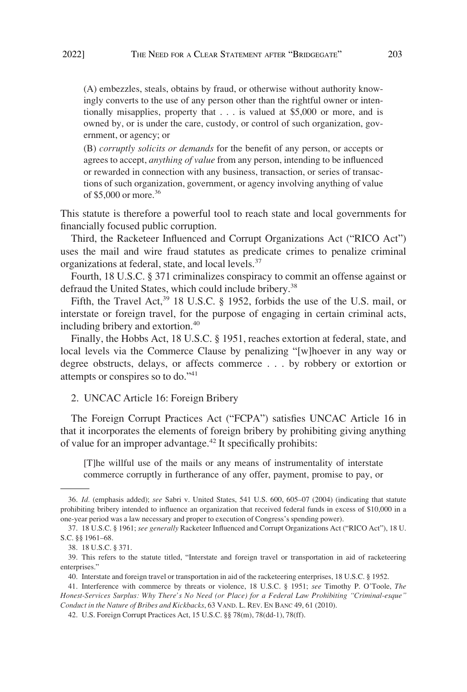<span id="page-6-0"></span>(A) embezzles, steals, obtains by fraud, or otherwise without authority knowingly converts to the use of any person other than the rightful owner or intentionally misapplies, property that . . . is valued at \$5,000 or more, and is owned by, or is under the care, custody, or control of such organization, government, or agency; or

(B) *corruptly solicits or demands* for the benefit of any person, or accepts or agrees to accept, *anything of value* from any person, intending to be influenced or rewarded in connection with any business, transaction, or series of transactions of such organization, government, or agency involving anything of value of \$5,000 or more.<sup>36</sup>

This statute is therefore a powerful tool to reach state and local governments for financially focused public corruption.

Third, the Racketeer Influenced and Corrupt Organizations Act ("RICO Act") uses the mail and wire fraud statutes as predicate crimes to penalize criminal organizations at federal, state, and local levels.<sup>37</sup>

Fourth, 18 U.S.C. § 371 criminalizes conspiracy to commit an offense against or defraud the United States, which could include bribery.<sup>38</sup>

Fifth, the Travel Act,<sup>39</sup> 18 U.S.C. § 1952, forbids the use of the U.S. mail, or interstate or foreign travel, for the purpose of engaging in certain criminal acts, including bribery and extortion.<sup>40</sup>

Finally, the Hobbs Act, 18 U.S.C. § 1951, reaches extortion at federal, state, and local levels via the Commerce Clause by penalizing "[w]hoever in any way or degree obstructs, delays, or affects commerce . . . by robbery or extortion or attempts or conspires so to do."<sup>41</sup>

## 2. UNCAC Article 16: Foreign Bribery

The Foreign Corrupt Practices Act ("FCPA") satisfies UNCAC Article 16 in that it incorporates the elements of foreign bribery by prohibiting giving anything of value for an improper advantage.42 It specifically prohibits:

[T]he willful use of the mails or any means of instrumentality of interstate commerce corruptly in furtherance of any offer, payment, promise to pay, or

<sup>36.</sup> *Id.* (emphasis added); *see* Sabri v. United States, 541 U.S. 600, 605–07 (2004) (indicating that statute prohibiting bribery intended to influence an organization that received federal funds in excess of \$10,000 in a one-year period was a law necessary and proper to execution of Congress's spending power).

<sup>37. 18</sup> U.S.C. § 1961; *see generally* Racketeer Influenced and Corrupt Organizations Act ("RICO Act"), 18 U. S.C. §§ 1961–68.

<sup>38. 18</sup> U.S.C. § 371.

<sup>39.</sup> This refers to the statute titled, "Interstate and foreign travel or transportation in aid of racketeering enterprises."

<sup>40.</sup> Interstate and foreign travel or transportation in aid of the racketeering enterprises, 18 U.S.C. § 1952.

<sup>41.</sup> Interference with commerce by threats or violence, 18 U.S.C. § 1951; *see* Timothy P. O'Toole, *The Honest-Services Surplus: Why There's No Need (or Place) for a Federal Law Prohibiting "Criminal-esque" Conduct in the Nature of Bribes and Kickbacks*, 63 VAND. L. REV. EN BANC 49, 61 (2010).

<sup>42.</sup> U.S. Foreign Corrupt Practices Act, 15 U.S.C. §§ 78(m), 78(dd-1), 78(ff).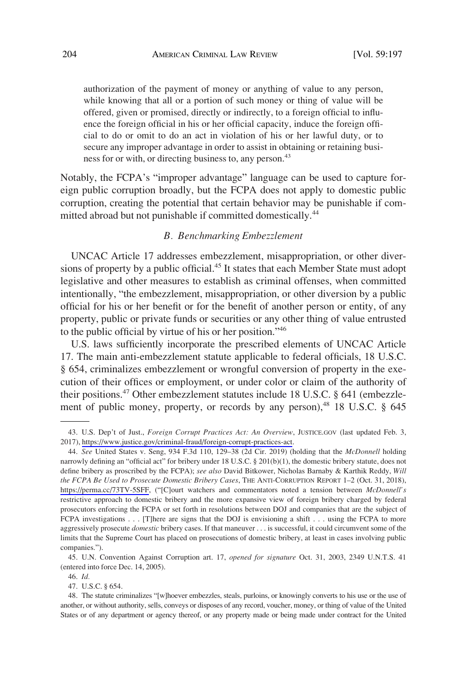<span id="page-7-0"></span>authorization of the payment of money or anything of value to any person, while knowing that all or a portion of such money or thing of value will be offered, given or promised, directly or indirectly, to a foreign official to influence the foreign official in his or her official capacity, induce the foreign official to do or omit to do an act in violation of his or her lawful duty, or to secure any improper advantage in order to assist in obtaining or retaining business for or with, or directing business to, any person.<sup>43</sup>

Notably, the FCPA's "improper advantage" language can be used to capture foreign public corruption broadly, but the FCPA does not apply to domestic public corruption, creating the potential that certain behavior may be punishable if committed abroad but not punishable if committed domestically.<sup>44</sup>

## *B. Benchmarking Embezzlement*

UNCAC Article 17 addresses embezzlement, misappropriation, or other diversions of property by a public official.<sup>45</sup> It states that each Member State must adopt legislative and other measures to establish as criminal offenses, when committed intentionally, "the embezzlement, misappropriation, or other diversion by a public official for his or her benefit or for the benefit of another person or entity, of any property, public or private funds or securities or any other thing of value entrusted to the public official by virtue of his or her position."<sup>46</sup>

U.S. laws sufficiently incorporate the prescribed elements of UNCAC Article 17. The main anti-embezzlement statute applicable to federal officials, 18 U.S.C. § 654, criminalizes embezzlement or wrongful conversion of property in the execution of their offices or employment, or under color or claim of the authority of their positions.47 Other embezzlement statutes include 18 U.S.C. § 641 (embezzlement of public money, property, or records by any person),<sup>48</sup> 18 U.S.C. § 645

47. U.S.C. § 654.

<sup>43.</sup> U.S. Dep't of Just., *Foreign Corrupt Practices Act: An Overview*, JUSTICE.GOV (last updated Feb. 3, 2017),<https://www.justice.gov/criminal-fraud/foreign-corrupt-practices-act>.

*See* United States v. Seng, 934 F.3d 110, 129–38 (2d Cir. 2019) (holding that the *McDonnell* holding 44. narrowly defining an "official act" for bribery under 18 U.S.C. § 201(b)(1), the domestic bribery statute, does not define bribery as proscribed by the FCPA); *see also* David Bitkower, Nicholas Barnaby & Karthik Reddy, *Will the FCPA Be Used to Prosecute Domestic Bribery Cases*, THE ANTI-CORRUPTION REPORT 1–2 (Oct. 31, 2018), <https://perma.cc/73TV-5SFF>, ("[C]ourt watchers and commentators noted a tension between *McDonnell's*  restrictive approach to domestic bribery and the more expansive view of foreign bribery charged by federal prosecutors enforcing the FCPA or set forth in resolutions between DOJ and companies that are the subject of FCPA investigations . . . [T]here are signs that the DOJ is envisioning a shift . . . using the FCPA to more aggressively prosecute *domestic* bribery cases. If that maneuver . . . is successful, it could circumvent some of the limits that the Supreme Court has placed on prosecutions of domestic bribery, at least in cases involving public companies.").

<sup>45.</sup> U.N. Convention Against Corruption art. 17, *opened for signature* Oct. 31, 2003, 2349 U.N.T.S. 41 (entered into force Dec. 14, 2005).

<sup>46.</sup> *Id.* 

<sup>48.</sup> The statute criminalizes "[w]hoever embezzles, steals, purloins, or knowingly converts to his use or the use of another, or without authority, sells, conveys or disposes of any record, voucher, money, or thing of value of the United States or of any department or agency thereof, or any property made or being made under contract for the United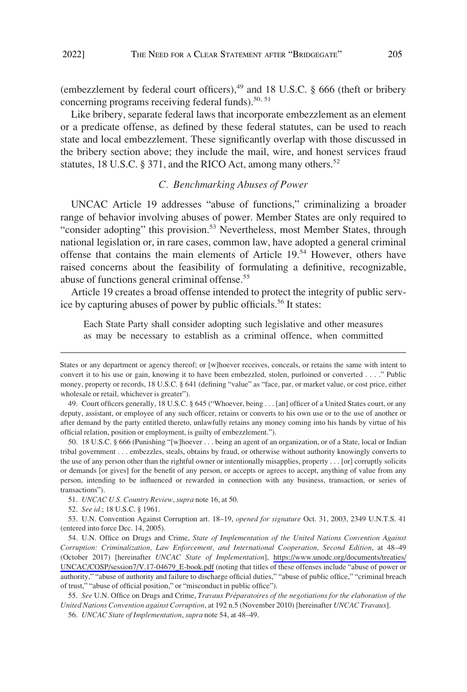<span id="page-8-0"></span>(embezzlement by federal court officers),<sup>49</sup> and 18 U.S.C. § 666 (theft or bribery concerning programs receiving federal funds).<sup>50, 51</sup>

Like bribery, separate federal laws that incorporate embezzlement as an element or a predicate offense, as defined by these federal statutes, can be used to reach state and local embezzlement. These significantly overlap with those discussed in the bribery section above; they include the mail, wire, and honest services fraud statutes, 18 U.S.C. § 371, and the RICO Act, among many others.<sup>52</sup>

## *C. Benchmarking Abuses of Power*

UNCAC Article 19 addresses "abuse of functions," criminalizing a broader range of behavior involving abuses of power. Member States are only required to "consider adopting" this provision.<sup>53</sup> Nevertheless, most Member States, through national legislation or, in rare cases, common law, have adopted a general criminal offense that contains the main elements of Article 19.54 However, others have raised concerns about the feasibility of formulating a definitive, recognizable, abuse of functions general criminal offense.<sup>55</sup>

Article 19 creates a broad offense intended to protect the integrity of public service by capturing abuses of power by public officials.<sup>56</sup> It states:

Each State Party shall consider adopting such legislative and other measures as may be necessary to establish as a criminal offence, when committed

50. 18 U.S.C. § 666 (Punishing "[w]hoever . . . being an agent of an organization, or of a State, local or Indian tribal government . . . embezzles, steals, obtains by fraud, or otherwise without authority knowingly converts to the use of any person other than the rightful owner or intentionally misapplies, property . . . [or] corruptly solicits or demands [or gives] for the benefit of any person, or accepts or agrees to accept, anything of value from any person, intending to be influenced or rewarded in connection with any business, transaction, or series of transactions").

States or any department or agency thereof; or [w]hoever receives, conceals, or retains the same with intent to convert it to his use or gain, knowing it to have been embezzled, stolen, purloined or converted . . . ." Public money, property or records, 18 U.S.C. § 641 (defining "value" as "face, par, or market value, or cost price, either wholesale or retail, whichever is greater").

<sup>49.</sup> Court officers generally, 18 U.S.C. § 645 ("Whoever, being . . . [an] officer of a United States court, or any deputy, assistant, or employee of any such officer, retains or converts to his own use or to the use of another or after demand by the party entitled thereto, unlawfully retains any money coming into his hands by virtue of his official relation, position or employment, is guilty of embezzlement.").

<sup>51.</sup> *UNCAC U.S. Country Review*, *supra* note 16, at 50.

<sup>52.</sup> *See id.*; 18 U.S.C. § 1961.

<sup>53.</sup> U.N. Convention Against Corruption art. 18–19, *opened for signature* Oct. 31, 2003, 2349 U.N.T.S. 41 (entered into force Dec. 14, 2005).

<sup>54.</sup> U.N. Office on Drugs and Crime, *State of Implementation of the United Nations Convention Against Corruption: Criminalization, Law Enforcement, and International Cooperation, Second Edition*, at 48–49 (October 2017) [hereinafter *UNCAC State of Implementation*], [https://www.unodc.org/documents/treaties/](https://www.unodc.org/documents/treaties/UNCAC/COSP/session7/V.17-04679_E-book.pdf) [UNCAC/COSP/session7/V.17-04679\\_E-book.pdf](https://www.unodc.org/documents/treaties/UNCAC/COSP/session7/V.17-04679_E-book.pdf) (noting that titles of these offenses include "abuse of power or authority," "abuse of authority and failure to discharge official duties," "abuse of public office," "criminal breach of trust," "abuse of official position," or "misconduct in public office").

<sup>55.</sup> *See* U.N. Office on Drugs and Crime, *Travaux Préparatoires of the negotiations for the elaboration of the United Nations Convention against Corruption*, at 192 n.5 (November 2010) [hereinafter *UNCAC Travaux*].

<sup>56.</sup> *UNCAC State of Implementation*, *supra* note 54, at 48–49.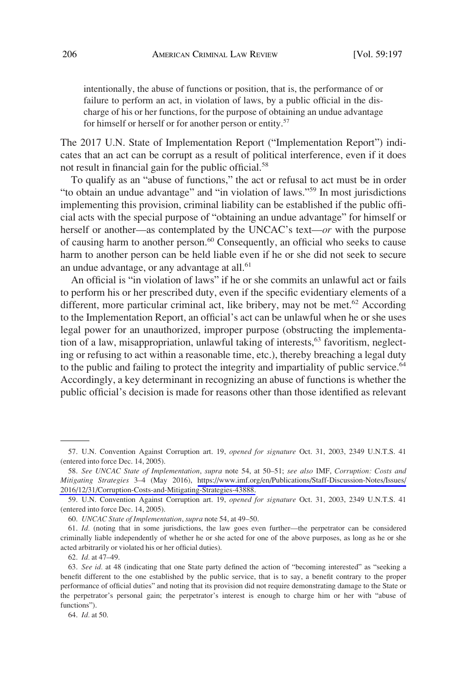intentionally, the abuse of functions or position, that is, the performance of or failure to perform an act, in violation of laws, by a public official in the discharge of his or her functions, for the purpose of obtaining an undue advantage for himself or herself or for another person or entity.<sup>57</sup>

The 2017 U.N. State of Implementation Report ("Implementation Report") indicates that an act can be corrupt as a result of political interference, even if it does not result in financial gain for the public official.<sup>58</sup>

To qualify as an "abuse of functions," the act or refusal to act must be in order "to obtain an undue advantage" and "in violation of laws."59 In most jurisdictions implementing this provision, criminal liability can be established if the public official acts with the special purpose of "obtaining an undue advantage" for himself or herself or another—as contemplated by the UNCAC's text—*or* with the purpose of causing harm to another person.<sup>60</sup> Consequently, an official who seeks to cause harm to another person can be held liable even if he or she did not seek to secure an undue advantage, or any advantage at all.<sup>61</sup>

An official is "in violation of laws" if he or she commits an unlawful act or fails to perform his or her prescribed duty, even if the specific evidentiary elements of a different, more particular criminal act, like bribery, may not be met.<sup>62</sup> According to the Implementation Report, an official's act can be unlawful when he or she uses legal power for an unauthorized, improper purpose (obstructing the implementation of a law, misappropriation, unlawful taking of interests,  $63$  favoritism, neglecting or refusing to act within a reasonable time, etc.), thereby breaching a legal duty to the public and failing to protect the integrity and impartiality of public service.<sup>64</sup> Accordingly, a key determinant in recognizing an abuse of functions is whether the public official's decision is made for reasons other than those identified as relevant

62. *Id.* at 47–49.

<sup>57.</sup> U.N. Convention Against Corruption art. 19, *opened for signature* Oct. 31, 2003, 2349 U.N.T.S. 41 (entered into force Dec. 14, 2005).

*See UNCAC State of Implementation*, *supra* note 54, at 50–51; *see also* IMF, *Corruption: Costs and*  58. *Mitigating Strategies* 3–4 (May 2016), [https://www.imf.org/en/Publications/Staff-Discussion-Notes/Issues/](https://www.imf.org/en/Publications/Staff-Discussion-Notes/Issues/2016/12/31/Corruption-Costs-and-Mitigating-Strategies-43888) [2016/12/31/Corruption-Costs-and-Mitigating-Strategies-43888.](https://www.imf.org/en/Publications/Staff-Discussion-Notes/Issues/2016/12/31/Corruption-Costs-and-Mitigating-Strategies-43888)

<sup>59.</sup> U.N. Convention Against Corruption art. 19, *opened for signature* Oct. 31, 2003, 2349 U.N.T.S. 41 (entered into force Dec. 14, 2005).

<sup>60.</sup> *UNCAC State of Implementation*, *supra* note 54, at 49–50.

<sup>61.</sup> *Id.* (noting that in some jurisdictions, the law goes even further—the perpetrator can be considered criminally liable independently of whether he or she acted for one of the above purposes, as long as he or she acted arbitrarily or violated his or her official duties).

<sup>63.</sup> *See id.* at 48 (indicating that one State party defined the action of "becoming interested" as "seeking a benefit different to the one established by the public service, that is to say, a benefit contrary to the proper performance of official duties" and noting that its provision did not require demonstrating damage to the State or the perpetrator's personal gain; the perpetrator's interest is enough to charge him or her with "abuse of functions").

<sup>64.</sup> *Id.* at 50.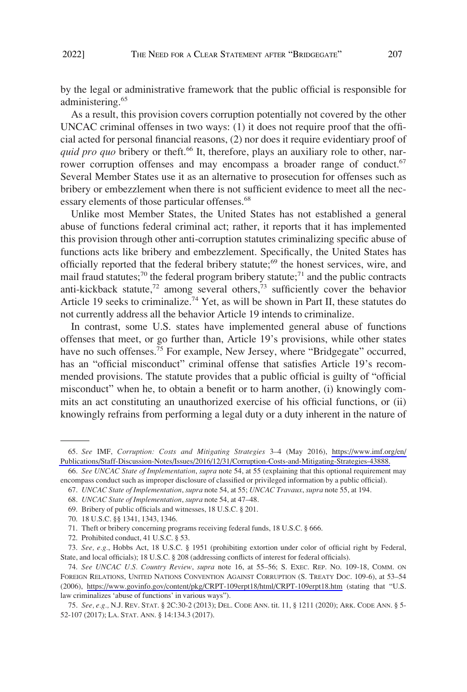by the legal or administrative framework that the public official is responsible for administering.<sup>65</sup>

As a result, this provision covers corruption potentially not covered by the other UNCAC criminal offenses in two ways: (1) it does not require proof that the official acted for personal financial reasons, (2) nor does it require evidentiary proof of *quid pro quo* bribery or theft.<sup>66</sup> It, therefore, plays an auxiliary role to other, narrower corruption offenses and may encompass a broader range of conduct.<sup>67</sup> Several Member States use it as an alternative to prosecution for offenses such as bribery or embezzlement when there is not sufficient evidence to meet all the necessary elements of those particular offenses.<sup>68</sup>

Unlike most Member States, the United States has not established a general abuse of functions federal criminal act; rather, it reports that it has implemented this provision through other anti-corruption statutes criminalizing specific abuse of functions acts like bribery and embezzlement. Specifically, the United States has officially reported that the federal bribery statute;<sup>69</sup> the honest services, wire, and mail fraud statutes;<sup>70</sup> the federal program bribery statute;<sup>71</sup> and the public contracts anti-kickback statute,72 among several others,73 sufficiently cover the behavior Article 19 seeks to criminalize.<sup>74</sup> Yet, as will be shown in Part II, these statutes do not currently address all the behavior Article 19 intends to criminalize.

In contrast, some U.S. states have implemented general abuse of functions offenses that meet, or go further than, Article 19's provisions, while other states have no such offenses.<sup>75</sup> For example, New Jersey, where "Bridgegate" occurred, has an "official misconduct" criminal offense that satisfies Article 19's recommended provisions. The statute provides that a public official is guilty of "official misconduct" when he, to obtain a benefit or to harm another, (i) knowingly commits an act constituting an unauthorized exercise of his official functions, or (ii) knowingly refrains from performing a legal duty or a duty inherent in the nature of

72. Prohibited conduct, 41 U.S.C. § 53.

73. *See, e.g.*, Hobbs Act, 18 U.S.C. § 1951 (prohibiting extortion under color of official right by Federal, State, and local officials); 18 U.S.C. § 208 (addressing conflicts of interest for federal officials).

*See* IMF, *Corruption: Costs and Mitigating Strategies* 3–4 (May 2016), [https://www.imf.org/en/](https://www.imf.org/en/Publications/Staff-Discussion-Notes/Issues/2016/12/31/Corruption-Costs-and-Mitigating-Strategies-43888)  65. [Publications/Staff-Discussion-Notes/Issues/2016/12/31/Corruption-Costs-and-Mitigating-Strategies-43888.](https://www.imf.org/en/Publications/Staff-Discussion-Notes/Issues/2016/12/31/Corruption-Costs-and-Mitigating-Strategies-43888)

<sup>66.</sup> *See UNCAC State of Implementation*, *supra* note 54, at 55 (explaining that this optional requirement may encompass conduct such as improper disclosure of classified or privileged information by a public official).

<sup>67.</sup> *UNCAC State of Implementation*, *supra* note 54, at 55; *UNCAC Travaux*, *supra* note 55, at 194.

<sup>68.</sup> *UNCAC State of Implementation*, *supra* note 54, at 47–48.

<sup>69.</sup> Bribery of public officials and witnesses, 18 U.S.C. § 201.

<sup>70. 18</sup> U.S.C. §§ 1341, 1343, 1346.

<sup>71.</sup> Theft or bribery concerning programs receiving federal funds, 18 U.S.C. § 666.

*See UNCAC U.S. Country Review*, *supra* note 16, at 55–56; S. EXEC. REP. NO. 109-18, COMM. ON 74. FOREIGN RELATIONS, UNITED NATIONS CONVENTION AGAINST CORRUPTION (S. TREATY DOC. 109-6), at 53–54 (2006), <https://www.govinfo.gov/content/pkg/CRPT-109erpt18/html/CRPT-109erpt18.htm>(stating that "U.S. law criminalizes 'abuse of functions' in various ways").

<sup>75.</sup> *See, e.g.,* N.J. REV. STAT. § 2C:30-2 (2013); DEL. CODE ANN. tit. 11, § 1211 (2020); ARK. CODE ANN. § 5- 52-107 (2017); LA. STAT. ANN. § 14:134.3 (2017).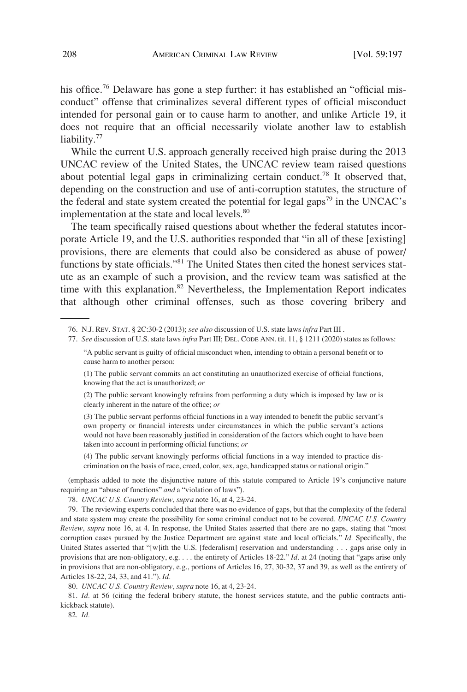his office.<sup>76</sup> Delaware has gone a step further: it has established an "official misconduct" offense that criminalizes several different types of official misconduct intended for personal gain or to cause harm to another, and unlike Article 19, it does not require that an official necessarily violate another law to establish liability.<sup>77</sup>

While the current U.S. approach generally received high praise during the 2013 UNCAC review of the United States, the UNCAC review team raised questions about potential legal gaps in criminalizing certain conduct.<sup>78</sup> It observed that, depending on the construction and use of anti-corruption statutes, the structure of the federal and state system created the potential for legal gaps<sup>79</sup> in the UNCAC's implementation at the state and local levels.<sup>80</sup>

The team specifically raised questions about whether the federal statutes incorporate Article 19, and the U.S. authorities responded that "in all of these [existing] provisions, there are elements that could also be considered as abuse of power/ functions by state officials."81 The United States then cited the honest services statute as an example of such a provision, and the review team was satisfied at the time with this explanation.<sup>82</sup> Nevertheless, the Implementation Report indicates that although other criminal offenses, such as those covering bribery and

77. *See* discussion of U.S. state laws *infra* Part III; DEL. CODE ANN. tit. 11, § 1211 (2020) states as follows:

(2) The public servant knowingly refrains from performing a duty which is imposed by law or is clearly inherent in the nature of the office; *or* 

(3) The public servant performs official functions in a way intended to benefit the public servant's own property or financial interests under circumstances in which the public servant's actions would not have been reasonably justified in consideration of the factors which ought to have been taken into account in performing official functions; *or* 

(4) The public servant knowingly performs official functions in a way intended to practice discrimination on the basis of race, creed, color, sex, age, handicapped status or national origin."

(emphasis added to note the disjunctive nature of this statute compared to Article 19's conjunctive nature requiring an "abuse of functions" *and* a "violation of laws").

78. *UNCAC U.S. Country Review*, *supra* note 16, at 4, 23-24.

79. The reviewing experts concluded that there was no evidence of gaps, but that the complexity of the federal and state system may create the possibility for some criminal conduct not to be covered. *UNCAC U.S. Country Review*, *supra* note 16, at 4. In response, the United States asserted that there are no gaps, stating that "most corruption cases pursued by the Justice Department are against state and local officials." *Id.* Specifically, the United States asserted that "[w]ith the U.S. [federalism] reservation and understanding . . . gaps arise only in provisions that are non-obligatory, e.g. . . . the entirety of Articles 18-22." *Id.* at 24 (noting that "gaps arise only in provisions that are non-obligatory, e.g., portions of Articles 16, 27, 30-32, 37 and 39, as well as the entirety of Articles 18-22, 24, 33, and 41."). *Id.* 

80. *UNCAC U.S. Country Review*, *supra* note 16, at 4, 23-24.

81. *Id.* at 56 (citing the federal bribery statute, the honest services statute, and the public contracts antikickback statute).

82. *Id.* 

<sup>76.</sup> N.J. REV. STAT. § 2C:30-2 (2013); *see also* discussion of U.S. state laws *infra* Part III .

<sup>&</sup>quot;A public servant is guilty of official misconduct when, intending to obtain a personal benefit or to cause harm to another person:

<sup>(1)</sup> The public servant commits an act constituting an unauthorized exercise of official functions, knowing that the act is unauthorized; *or*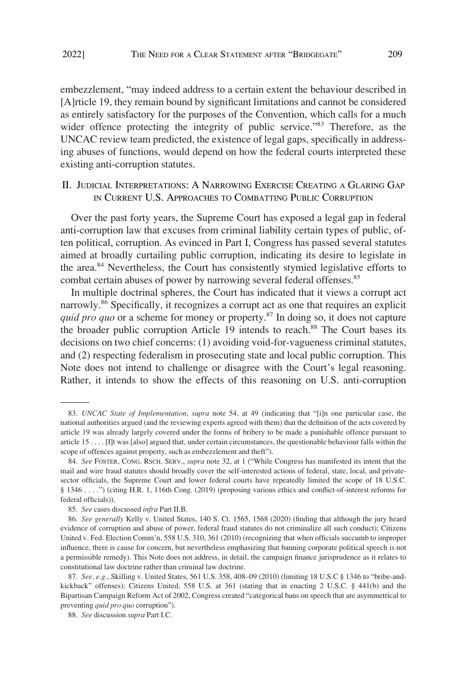<span id="page-12-0"></span>embezzlement, "may indeed address to a certain extent the behaviour described in [A]rticle 19, they remain bound by significant limitations and cannot be considered as entirely satisfactory for the purposes of the Convention, which calls for a much wider offence protecting the integrity of public service."<sup>83</sup> Therefore, as the UNCAC review team predicted, the existence of legal gaps, specifically in addressing abuses of functions, would depend on how the federal courts interpreted these existing anti-corruption statutes.

# II. JUDICIAL INTERPRETATIONS: A NARROWING EXERCISE CREATING A GLARING GAP IN CURRENT U.S. APPROACHES TO COMBATTING PUBLIC CORRUPTION

Over the past forty years, the Supreme Court has exposed a legal gap in federal anti-corruption law that excuses from criminal liability certain types of public, often political, corruption. As evinced in Part I, Congress has passed several statutes aimed at broadly curtailing public corruption, indicating its desire to legislate in the area.<sup>84</sup> Nevertheless, the Court has consistently stymied legislative efforts to combat certain abuses of power by narrowing several federal offenses.<sup>85</sup>

In multiple doctrinal spheres, the Court has indicated that it views a corrupt act narrowly.<sup>86</sup> Specifically, it recognizes a corrupt act as one that requires an explicit *quid pro quo* or a scheme for money or property.<sup>87</sup> In doing so, it does not capture the broader public corruption Article 19 intends to reach.<sup>88</sup> The Court bases its decisions on two chief concerns: (1) avoiding void-for-vagueness criminal statutes, and (2) respecting federalism in prosecuting state and local public corruption. This Note does not intend to challenge or disagree with the Court's legal reasoning. Rather, it intends to show the effects of this reasoning on U.S. anti-corruption

<sup>83.</sup> *UNCAC State of Implementation*, *supra* note 54, at 49 (indicating that "[i]n one particular case, the national authorities argued (and the reviewing experts agreed with them) that the definition of the acts covered by article 19 was already largely covered under the forms of bribery to be made a punishable offence pursuant to article 15 . . . . [I]t was [also] argued that, under certain circumstances, the questionable behaviour falls within the scope of offences against property, such as embezzlement and theft").

<sup>84.</sup> *See* FOSTER, CONG. RSCH. SERV., *supra* note 32, at 1 ("While Congress has manifested its intent that the mail and wire fraud statutes should broadly cover the self-interested actions of federal, state, local, and privatesector officials, the Supreme Court and lower federal courts have repeatedly limited the scope of 18 U.S.C. § 1346 . . . .") (citing H.R. 1, 116th Cong. (2019) (proposing various ethics and conflict-of-interest reforms for federal officials)).

<sup>85.</sup> *See* cases discussed *infra* Part II.B.

<sup>86.</sup> *See generally* Kelly v. United States, 140 S. Ct. 1565, 1568 (2020) (finding that although the jury heard evidence of corruption and abuse of power, federal fraud statutes do not criminalize all such conduct); Citizens United v. Fed. Election Comm'n, 558 U.S. 310, 361 (2010) (recognizing that when officials succumb to improper influence, there is cause for concern, but nevertheless emphasizing that banning corporate political speech is not a permissible remedy). This Note does not address, in detail, the campaign finance jurisprudence as it relates to constitutional law doctrine rather than criminal law doctrine.

<sup>87.</sup> *See, e.g.*, Skilling v. United States, 561 U.S. 358, 408–09 (2010) (limiting 18 U.S.C § 1346 to "bribe-andkickback" offenses); Citizens United, 558 U.S. at 361 (stating that in enacting 2 U.S.C. § 441(b) and the Bipartisan Campaign Reform Act of 2002, Congress created "categorical bans on speech that are asymmetrical to preventing *quid pro quo* corruption").

<sup>88.</sup> *See* discussion *supra* Part I.C.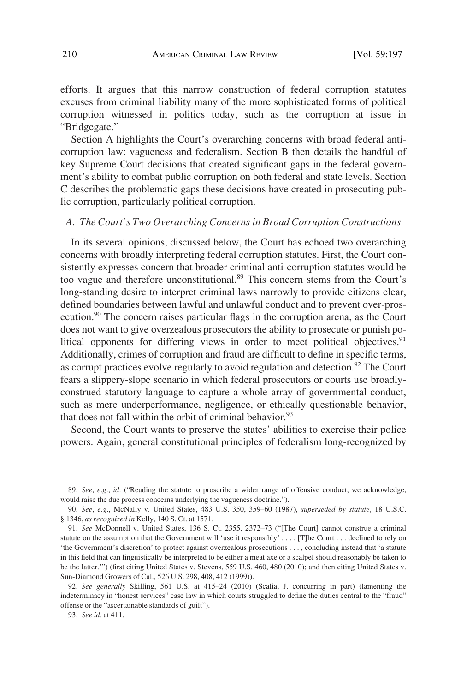<span id="page-13-0"></span>efforts. It argues that this narrow construction of federal corruption statutes excuses from criminal liability many of the more sophisticated forms of political corruption witnessed in politics today, such as the corruption at issue in "Bridgegate."

Section A highlights the Court's overarching concerns with broad federal anticorruption law: vagueness and federalism. Section B then details the handful of key Supreme Court decisions that created significant gaps in the federal government's ability to combat public corruption on both federal and state levels. Section C describes the problematic gaps these decisions have created in prosecuting public corruption, particularly political corruption.

### *A. The Court's Two Overarching Concerns in Broad Corruption Constructions*

In its several opinions, discussed below, the Court has echoed two overarching concerns with broadly interpreting federal corruption statutes. First, the Court consistently expresses concern that broader criminal anti-corruption statutes would be too vague and therefore unconstitutional.<sup>89</sup> This concern stems from the Court's long-standing desire to interpret criminal laws narrowly to provide citizens clear, defined boundaries between lawful and unlawful conduct and to prevent over-prosecution.90 The concern raises particular flags in the corruption arena, as the Court does not want to give overzealous prosecutors the ability to prosecute or punish political opponents for differing views in order to meet political objectives.<sup>91</sup> Additionally, crimes of corruption and fraud are difficult to define in specific terms, as corrupt practices evolve regularly to avoid regulation and detection.<sup>92</sup> The Court fears a slippery-slope scenario in which federal prosecutors or courts use broadlyconstrued statutory language to capture a whole array of governmental conduct, such as mere underperformance, negligence, or ethically questionable behavior, that does not fall within the orbit of criminal behavior. $93$ 

Second, the Court wants to preserve the states' abilities to exercise their police powers. Again, general constitutional principles of federalism long-recognized by

<sup>89.</sup> *See, e.g.*, *id.* ("Reading the statute to proscribe a wider range of offensive conduct, we acknowledge, would raise the due process concerns underlying the vagueness doctrine.").

<sup>90.</sup> *See, e.g.*, McNally v. United States, 483 U.S. 350, 359–60 (1987), *superseded by statute,* 18 U.S.C. § 1346, *as recognized in* Kelly, 140 S. Ct. at 1571.

<sup>91.</sup> *See* McDonnell v. United States, 136 S. Ct. 2355, 2372–73 ("[The Court] cannot construe a criminal statute on the assumption that the Government will 'use it responsibly' . . . . [T]he Court . . . declined to rely on 'the Government's discretion' to protect against overzealous prosecutions . . . , concluding instead that 'a statute in this field that can linguistically be interpreted to be either a meat axe or a scalpel should reasonably be taken to be the latter.'") (first citing United States v. Stevens, 559 U.S. 460, 480 (2010); and then citing United States v. Sun-Diamond Growers of Cal., 526 U.S. 298, 408, 412 (1999)).

<sup>92.</sup> *See generally* Skilling, 561 U.S. at 415–24 (2010) (Scalia, J. concurring in part) (lamenting the indeterminacy in "honest services" case law in which courts struggled to define the duties central to the "fraud" offense or the "ascertainable standards of guilt").

<sup>93.</sup> *See id.* at 411.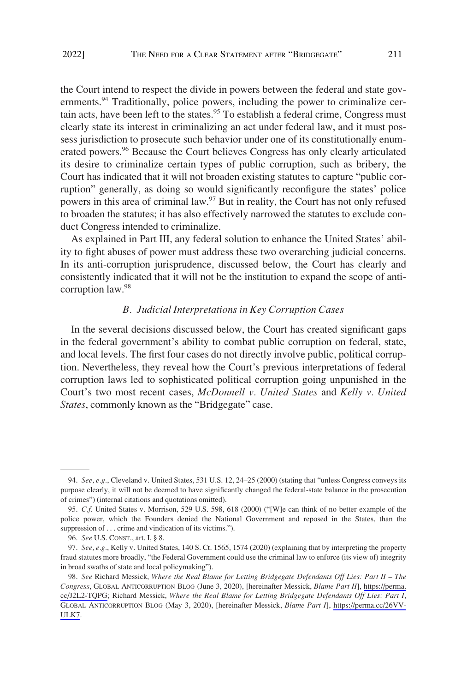<span id="page-14-0"></span>the Court intend to respect the divide in powers between the federal and state governments.<sup>94</sup> Traditionally, police powers, including the power to criminalize certain acts, have been left to the states.<sup>95</sup> To establish a federal crime, Congress must clearly state its interest in criminalizing an act under federal law, and it must possess jurisdiction to prosecute such behavior under one of its constitutionally enumerated powers.<sup>96</sup> Because the Court believes Congress has only clearly articulated its desire to criminalize certain types of public corruption, such as bribery, the Court has indicated that it will not broaden existing statutes to capture "public corruption" generally, as doing so would significantly reconfigure the states' police powers in this area of criminal law.<sup>97</sup> But in reality, the Court has not only refused to broaden the statutes; it has also effectively narrowed the statutes to exclude conduct Congress intended to criminalize.

As explained in Part III, any federal solution to enhance the United States' ability to fight abuses of power must address these two overarching judicial concerns. In its anti-corruption jurisprudence, discussed below, the Court has clearly and consistently indicated that it will not be the institution to expand the scope of anticorruption law.98

#### *B. Judicial Interpretations in Key Corruption Cases*

In the several decisions discussed below, the Court has created significant gaps in the federal government's ability to combat public corruption on federal, state, and local levels. The first four cases do not directly involve public, political corruption. Nevertheless, they reveal how the Court's previous interpretations of federal corruption laws led to sophisticated political corruption going unpunished in the Court's two most recent cases, *McDonnell v. United States* and *Kelly v. United States*, commonly known as the "Bridgegate" case.

<sup>94.</sup> *See, e.g.*, Cleveland v. United States, 531 U.S. 12, 24–25 (2000) (stating that "unless Congress conveys its purpose clearly, it will not be deemed to have significantly changed the federal-state balance in the prosecution of crimes") (internal citations and quotations omitted).

<sup>95.</sup> *C.f.* United States v. Morrison, 529 U.S. 598, 618 (2000) ("[W]e can think of no better example of the police power, which the Founders denied the National Government and reposed in the States, than the suppression of . . . crime and vindication of its victims.").

<sup>96.</sup> *See* U.S. CONST., art. I, § 8.

<sup>97.</sup> *See, e.g.*, Kelly v. United States, 140 S. Ct. 1565, 1574 (2020) (explaining that by interpreting the property fraud statutes more broadly, "the Federal Government could use the criminal law to enforce (its view of) integrity in broad swaths of state and local policymaking").

*See* Richard Messick, *Where the Real Blame for Letting Bridgegate Defendants Off Lies: Part II – The*  98. *Congress*, GLOBAL ANTICORRUPTION BLOG (June 3, 2020), [hereinafter Messick, *Blame Part II*], [https://perma.](https://perma.cc/J2L2-TQPG)  [cc/J2L2-TQPG;](https://perma.cc/J2L2-TQPG) Richard Messick, *Where the Real Blame for Letting Bridgegate Defendants Off Lies: Part I*, GLOBAL ANTICORRUPTION BLOG (May 3, 2020), [hereinafter Messick, *Blame Part I*], [https://perma.cc/26VV-](https://perma.cc/26VV-ULK7)[ULK7](https://perma.cc/26VV-ULK7).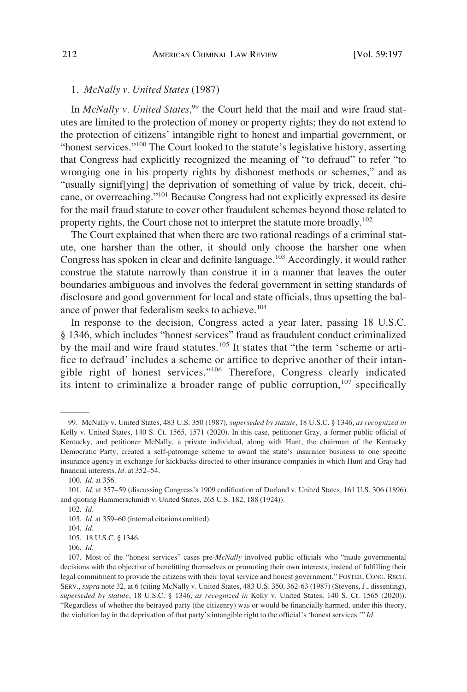## <span id="page-15-0"></span>1. *McNally v. United States* (1987)

In *McNally v. United States*,<sup>99</sup> the Court held that the mail and wire fraud statutes are limited to the protection of money or property rights; they do not extend to the protection of citizens' intangible right to honest and impartial government, or "honest services."<sup>100</sup> The Court looked to the statute's legislative history, asserting that Congress had explicitly recognized the meaning of "to defraud" to refer "to wronging one in his property rights by dishonest methods or schemes," and as "usually signif[ying] the deprivation of something of value by trick, deceit, chicane, or overreaching."101 Because Congress had not explicitly expressed its desire for the mail fraud statute to cover other fraudulent schemes beyond those related to property rights, the Court chose not to interpret the statute more broadly.<sup>102</sup>

The Court explained that when there are two rational readings of a criminal statute, one harsher than the other, it should only choose the harsher one when Congress has spoken in clear and definite language.<sup>103</sup> Accordingly, it would rather construe the statute narrowly than construe it in a manner that leaves the outer boundaries ambiguous and involves the federal government in setting standards of disclosure and good government for local and state officials, thus upsetting the balance of power that federalism seeks to achieve.<sup>104</sup>

In response to the decision, Congress acted a year later, passing 18 U.S.C. § 1346, which includes "honest services" fraud as fraudulent conduct criminalized by the mail and wire fraud statutes.<sup>105</sup> It states that "the term 'scheme or artifice to defraud' includes a scheme or artifice to deprive another of their intangible right of honest services."106 Therefore, Congress clearly indicated its intent to criminalize a broader range of public corruption,  $107$  specifically

<sup>99.</sup> McNally v. United States, 483 U.S. 350 (1987), *superseded by statute,* 18 U.S.C. § 1346, *as recognized in*  Kelly v. United States, 140 S. Ct. 1565, 1571 (2020). In this case, petitioner Gray, a former public official of Kentucky, and petitioner McNally, a private individual, along with Hunt, the chairman of the Kentucky Democratic Party, created a self-patronage scheme to award the state's insurance business to one specific insurance agency in exchange for kickbacks directed to other insurance companies in which Hunt and Gray had financial interests. *Id.* at 352–54.

<sup>100.</sup> *Id.* at 356.

<sup>101.</sup> *Id.* at 357–59 (discussing Congress's 1909 codification of Durland v. United States, 161 U.S. 306 (1896) and quoting Hammerschmidt v. United States, 265 U.S. 182, 188 (1924)).

<sup>102.</sup> *Id.* 

<sup>103.</sup> *Id.* at 359–60 (internal citations omitted).

<sup>104.</sup> *Id.* 

<sup>105. 18</sup> U.S.C. § 1346.

<sup>106.</sup> *Id.* 

<sup>107.</sup> Most of the "honest services" cases pre-*McNally* involved public officials who "made governmental decisions with the objective of benefitting themselves or promoting their own interests, instead of fulfilling their legal commitment to provide the citizens with their loyal service and honest government." FOSTER, CONG. RSCH. SERV., *supra* note 32, at 6 (citing McNally v. United States, 483 U.S. 350, 362-63 (1987) (Stevens, J., dissenting), *superseded by statute*, 18 U.S.C. § 1346, *as recognized in* Kelly v. United States, 140 S. Ct. 1565 (2020)). "Regardless of whether the betrayed party (the citizenry) was or would be financially harmed, under this theory, the violation lay in the deprivation of that party's intangible right to the official's 'honest services.'" *Id.*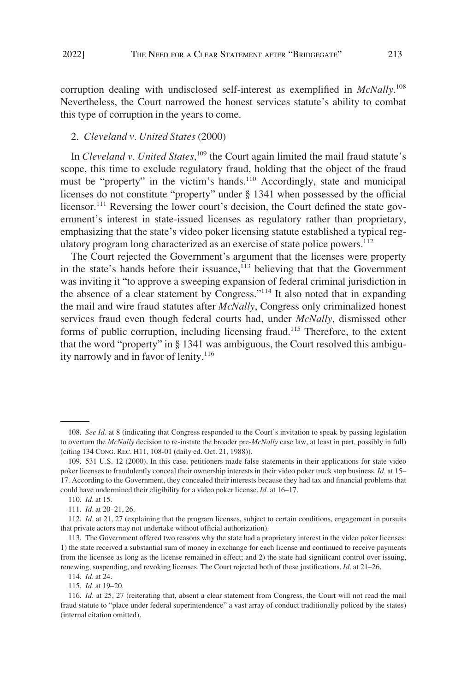<span id="page-16-0"></span>

corruption dealing with undisclosed self-interest as exemplified in *McNally*. 108 Nevertheless, the Court narrowed the honest services statute's ability to combat this type of corruption in the years to come.

## 2. *Cleveland v. United States* (2000)

In *Cleveland v. United States*, 109 the Court again limited the mail fraud statute's scope, this time to exclude regulatory fraud, holding that the object of the fraud must be "property" in the victim's hands.<sup>110</sup> Accordingly, state and municipal licenses do not constitute "property" under § 1341 when possessed by the official licensor.<sup>111</sup> Reversing the lower court's decision, the Court defined the state government's interest in state-issued licenses as regulatory rather than proprietary, emphasizing that the state's video poker licensing statute established a typical regulatory program long characterized as an exercise of state police powers.<sup>112</sup>

The Court rejected the Government's argument that the licenses were property in the state's hands before their issuance,<sup>113</sup> believing that that the Government was inviting it "to approve a sweeping expansion of federal criminal jurisdiction in the absence of a clear statement by Congress."114 It also noted that in expanding the mail and wire fraud statutes after *McNally*, Congress only criminalized honest services fraud even though federal courts had, under *McNally*, dismissed other forms of public corruption, including licensing fraud.<sup>115</sup> Therefore, to the extent that the word "property" in § 1341 was ambiguous, the Court resolved this ambiguity narrowly and in favor of lenity.<sup>116</sup>

114. *Id.* at 24.

115. *Id.* at 19–20.

<sup>108.</sup> *See Id.* at 8 (indicating that Congress responded to the Court's invitation to speak by passing legislation to overturn the *McNally* decision to re-instate the broader pre-*McNally* case law, at least in part, possibly in full) (citing 134 CONG. REC. H11, 108-01 (daily ed. Oct. 21, 1988)).

<sup>109. 531</sup> U.S. 12 (2000). In this case, petitioners made false statements in their applications for state video poker licenses to fraudulently conceal their ownership interests in their video poker truck stop business. *Id.* at 15– 17. According to the Government, they concealed their interests because they had tax and financial problems that could have undermined their eligibility for a video poker license. *Id.* at 16–17.

<sup>110.</sup> *Id.* at 15.

<sup>111.</sup> *Id.* at 20–21, 26.

<sup>112.</sup> *Id.* at 21, 27 (explaining that the program licenses, subject to certain conditions, engagement in pursuits that private actors may not undertake without official authorization).

<sup>113.</sup> The Government offered two reasons why the state had a proprietary interest in the video poker licenses: 1) the state received a substantial sum of money in exchange for each license and continued to receive payments from the licensee as long as the license remained in effect; and 2) the state had significant control over issuing, renewing, suspending, and revoking licenses. The Court rejected both of these justifications. *Id.* at 21–26.

<sup>116.</sup> *Id.* at 25, 27 (reiterating that, absent a clear statement from Congress, the Court will not read the mail fraud statute to "place under federal superintendence" a vast array of conduct traditionally policed by the states) (internal citation omitted).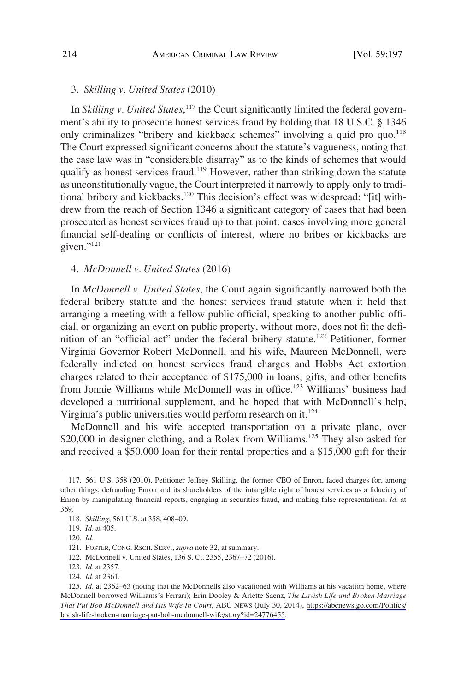#### <span id="page-17-0"></span>3. *Skilling v. United States* (2010)

In *Skilling v. United States*,<sup>117</sup> the Court significantly limited the federal government's ability to prosecute honest services fraud by holding that 18 U.S.C. § 1346 only criminalizes "bribery and kickback schemes" involving a quid pro quo.<sup>118</sup> The Court expressed significant concerns about the statute's vagueness, noting that the case law was in "considerable disarray" as to the kinds of schemes that would qualify as honest services fraud.<sup>119</sup> However, rather than striking down the statute as unconstitutionally vague, the Court interpreted it narrowly to apply only to traditional bribery and kickbacks.120 This decision's effect was widespread: "[it] withdrew from the reach of Section 1346 a significant category of cases that had been prosecuted as honest services fraud up to that point: cases involving more general financial self-dealing or conflicts of interest, where no bribes or kickbacks are given." $^{121}$ 

#### 4. *McDonnell v. United States* (2016)

In *McDonnell v. United States*, the Court again significantly narrowed both the federal bribery statute and the honest services fraud statute when it held that arranging a meeting with a fellow public official, speaking to another public official, or organizing an event on public property, without more, does not fit the definition of an "official act" under the federal bribery statute.<sup>122</sup> Petitioner, former Virginia Governor Robert McDonnell, and his wife, Maureen McDonnell, were federally indicted on honest services fraud charges and Hobbs Act extortion charges related to their acceptance of \$175,000 in loans, gifts, and other benefits from Jonnie Williams while McDonnell was in office.<sup>123</sup> Williams' business had developed a nutritional supplement, and he hoped that with McDonnell's help, Virginia's public universities would perform research on it.<sup>124</sup>

McDonnell and his wife accepted transportation on a private plane, over \$20,000 in designer clothing, and a Rolex from Williams.<sup>125</sup> They also asked for and received a \$50,000 loan for their rental properties and a \$15,000 gift for their

<sup>117. 561</sup> U.S. 358 (2010). Petitioner Jeffrey Skilling, the former CEO of Enron, faced charges for, among other things, defrauding Enron and its shareholders of the intangible right of honest services as a fiduciary of Enron by manipulating financial reports, engaging in securities fraud, and making false representations. *Id.* at 369.

<sup>118.</sup> *Skilling*, 561 U.S. at 358, 408–09.

<sup>119.</sup> *Id.* at 405.

<sup>120.</sup> *Id.* 

<sup>121.</sup> FOSTER, CONG. RSCH. SERV., *supra* note 32, at summary.

<sup>122.</sup> McDonnell v. United States, 136 S. Ct. 2355, 2367–72 (2016).

<sup>123.</sup> *Id.* at 2357.

<sup>124.</sup> *Id.* at 2361.

<sup>125.</sup> *Id.* at 2362–63 (noting that the McDonnells also vacationed with Williams at his vacation home, where McDonnell borrowed Williams's Ferrari); Erin Dooley & Arlette Saenz, *The Lavish Life and Broken Marriage That Put Bob McDonnell and His Wife In Court*, ABC NEWS (July 30, 2014), [https://abcnews.go.com/Politics/](https://abcnews.go.com/Politics/lavish-life-broken-marriage-put-bob-mcdonnell-wife/story?id=24776455) [lavish-life-broken-marriage-put-bob-mcdonnell-wife/story?id=24776455.](https://abcnews.go.com/Politics/lavish-life-broken-marriage-put-bob-mcdonnell-wife/story?id=24776455)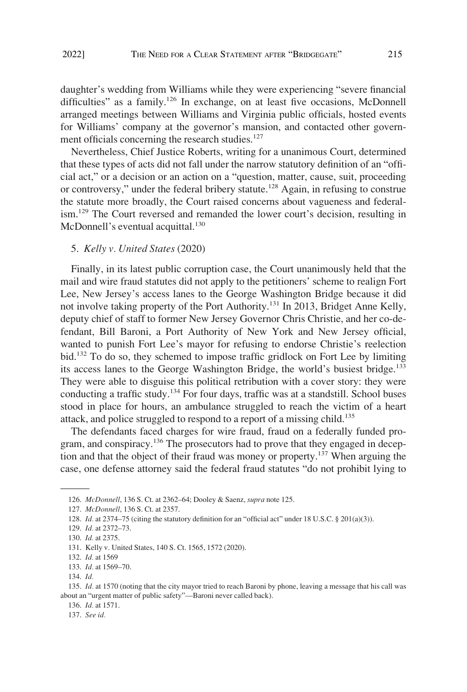<span id="page-18-0"></span>daughter's wedding from Williams while they were experiencing "severe financial difficulties" as a family.<sup>126</sup> In exchange, on at least five occasions, McDonnell arranged meetings between Williams and Virginia public officials, hosted events for Williams' company at the governor's mansion, and contacted other government officials concerning the research studies.<sup>127</sup>

Nevertheless, Chief Justice Roberts, writing for a unanimous Court, determined that these types of acts did not fall under the narrow statutory definition of an "official act," or a decision or an action on a "question, matter, cause, suit, proceeding or controversy," under the federal bribery statute.<sup>128</sup> Again, in refusing to construe the statute more broadly, the Court raised concerns about vagueness and federalism.<sup>129</sup> The Court reversed and remanded the lower court's decision, resulting in McDonnell's eventual acquittal.<sup>130</sup>

#### 5. *Kelly v. United States* (2020)

Finally, in its latest public corruption case, the Court unanimously held that the mail and wire fraud statutes did not apply to the petitioners' scheme to realign Fort Lee, New Jersey's access lanes to the George Washington Bridge because it did not involve taking property of the Port Authority.<sup>131</sup> In 2013, Bridget Anne Kelly, deputy chief of staff to former New Jersey Governor Chris Christie, and her co-defendant, Bill Baroni, a Port Authority of New York and New Jersey official, wanted to punish Fort Lee's mayor for refusing to endorse Christie's reelection bid.132 To do so, they schemed to impose traffic gridlock on Fort Lee by limiting its access lanes to the George Washington Bridge, the world's busiest bridge.<sup>133</sup> They were able to disguise this political retribution with a cover story: they were conducting a traffic study.<sup>134</sup> For four days, traffic was at a standstill. School buses stood in place for hours, an ambulance struggled to reach the victim of a heart attack, and police struggled to respond to a report of a missing child.<sup>135</sup>

The defendants faced charges for wire fraud, fraud on a federally funded program, and conspiracy.<sup>136</sup> The prosecutors had to prove that they engaged in deception and that the object of their fraud was money or property.137 When arguing the case, one defense attorney said the federal fraud statutes "do not prohibit lying to

136. *Id.* at 1571.

<sup>126.</sup> *McDonnell*, 136 S. Ct. at 2362–64; Dooley & Saenz, *supra* note 125.

<sup>127.</sup> *McDonnell*, 136 S. Ct. at 2357.

<sup>128.</sup> *Id.* at 2374–75 (citing the statutory definition for an "official act" under 18 U.S.C. § 201(a)(3)).

<sup>129.</sup> *Id.* at 2372–73.

<sup>130.</sup> *Id.* at 2375.

<sup>131.</sup> Kelly v. United States, 140 S. Ct. 1565, 1572 (2020).

<sup>132.</sup> *Id.* at 1569

<sup>133.</sup> *Id.* at 1569–70.

<sup>134.</sup> *Id.* 

<sup>135.</sup> *Id.* at 1570 (noting that the city mayor tried to reach Baroni by phone, leaving a message that his call was about an "urgent matter of public safety"—Baroni never called back).

<sup>137.</sup> *See id.*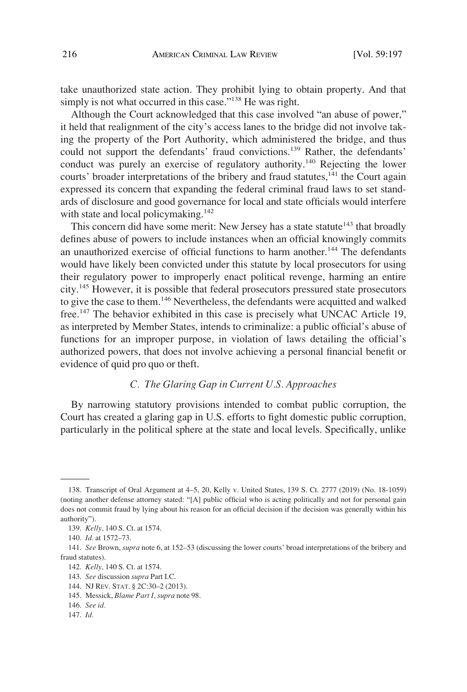<span id="page-19-0"></span>take unauthorized state action. They prohibit lying to obtain property. And that simply is not what occurred in this case."<sup>138</sup> He was right.

Although the Court acknowledged that this case involved "an abuse of power," it held that realignment of the city's access lanes to the bridge did not involve taking the property of the Port Authority, which administered the bridge, and thus could not support the defendants' fraud convictions.<sup>139</sup> Rather, the defendants' conduct was purely an exercise of regulatory authority.<sup>140</sup> Rejecting the lower courts' broader interpretations of the bribery and fraud statutes, $141$  the Court again expressed its concern that expanding the federal criminal fraud laws to set standards of disclosure and good governance for local and state officials would interfere with state and local policymaking. $142$ 

This concern did have some merit: New Jersey has a state statute<sup>143</sup> that broadly defines abuse of powers to include instances when an official knowingly commits an unauthorized exercise of official functions to harm another.<sup>144</sup> The defendants would have likely been convicted under this statute by local prosecutors for using their regulatory power to improperly enact political revenge, harming an entire city.145 However, it is possible that federal prosecutors pressured state prosecutors to give the case to them.<sup>146</sup> Nevertheless, the defendants were acquitted and walked free.<sup>147</sup> The behavior exhibited in this case is precisely what UNCAC Article 19, as interpreted by Member States, intends to criminalize: a public official's abuse of functions for an improper purpose, in violation of laws detailing the official's authorized powers, that does not involve achieving a personal financial benefit or evidence of quid pro quo or theft.

## *C. The Glaring Gap in Current U.S. Approaches*

By narrowing statutory provisions intended to combat public corruption, the Court has created a glaring gap in U.S. efforts to fight domestic public corruption, particularly in the political sphere at the state and local levels. Specifically, unlike

<sup>138.</sup> Transcript of Oral Argument at 4–5, 20, Kelly v. United States, 139 S. Ct. 2777 (2019) (No. 18-1059) (noting another defense attorney stated: "[A] public official who is acting politically and not for personal gain does not commit fraud by lying about his reason for an official decision if the decision was generally within his authority").

<sup>139.</sup> *Kelly*, 140 S. Ct. at 1574.

<sup>140.</sup> *Id.* at 1572–73.

<sup>141.</sup> *See* Brown, *supra* note 6, at 152–53 (discussing the lower courts' broad interpretations of the bribery and fraud statutes).

<sup>142.</sup> *Kelly,* 140 S. Ct. at 1574.

<sup>143.</sup> *See* discussion *supra* Part I.C.

<sup>144.</sup> NJ REV. STAT. § 2C:30–2 (2013).

<sup>145.</sup> Messick, *Blame Part I*, *supra* note 98.

<sup>146.</sup> *See id.* 

<sup>147.</sup> *Id.*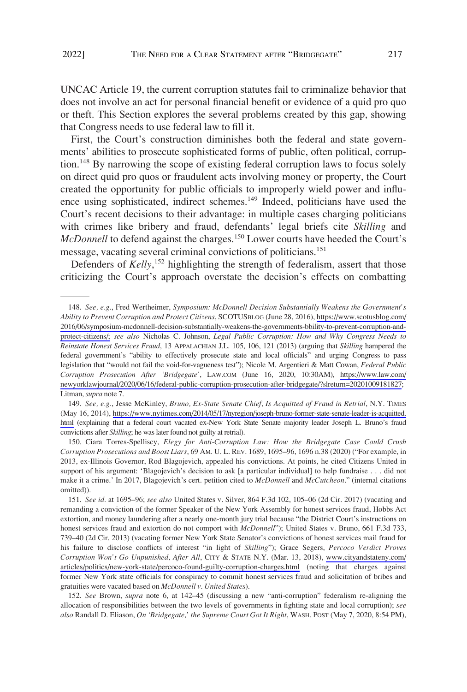UNCAC Article 19, the current corruption statutes fail to criminalize behavior that does not involve an act for personal financial benefit or evidence of a quid pro quo or theft. This Section explores the several problems created by this gap, showing that Congress needs to use federal law to fill it.

First, the Court's construction diminishes both the federal and state governments' abilities to prosecute sophisticated forms of public, often political, corruption.<sup>148</sup> By narrowing the scope of existing federal corruption laws to focus solely on direct quid pro quos or fraudulent acts involving money or property, the Court created the opportunity for public officials to improperly wield power and influence using sophisticated, indirect schemes.<sup>149</sup> Indeed, politicians have used the Court's recent decisions to their advantage: in multiple cases charging politicians with crimes like bribery and fraud, defendants' legal briefs cite *Skilling* and *McDonnell* to defend against the charges.<sup>150</sup> Lower courts have heeded the Court's message, vacating several criminal convictions of politicians.<sup>151</sup>

Defenders of *Kelly*,<sup>152</sup> highlighting the strength of federalism, assert that those criticizing the Court's approach overstate the decision's effects on combatting

*See, e.g.*, Fred Wertheimer, *Symposium: McDonnell Decision Substantially Weakens the Government's*  148. *Ability to Prevent Corruption and Protect Citizens*, SCOTUSBLOG (June 28, 2016), [https://www.scotusblog.com/](https://www.scotusblog.com/2016/06/symposium-mcdonnell-decision-substantially-weakens-the-governments-bbility-to-prevent-corruption-and-protect-citizens/)  [2016/06/symposium-mcdonnell-decision-substantially-weakens-the-governments-bbility-to-prevent-corruption-and](https://www.scotusblog.com/2016/06/symposium-mcdonnell-decision-substantially-weakens-the-governments-bbility-to-prevent-corruption-and-protect-citizens/)[protect-citizens/;](https://www.scotusblog.com/2016/06/symposium-mcdonnell-decision-substantially-weakens-the-governments-bbility-to-prevent-corruption-and-protect-citizens/) *see also* Nicholas C. Johnson, *Legal Public Corruption: How and Why Congress Needs to Reinstate Honest Services Fraud*, 13 APPALACHIAN J.L. 105, 106, 121 (2013) (arguing that *Skilling* hampered the federal government's "ability to effectively prosecute state and local officials" and urging Congress to pass legislation that "would not fail the void-for-vagueness test"); Nicole M. Argentieri & Matt Cowan, *Federal Public Corruption Prosecution After 'Bridgegate'*, LAW.COM (June 16, 2020, 10:30AM), [https://www.law.com/](https://www.law.com/newyorklawjournal/2020/06/16/federal-public-corruption-prosecution-after-bridgegate/?slreturn=20201009181827)  [newyorklawjournal/2020/06/16/federal-public-corruption-prosecution-after-bridgegate/?slreturn=20201009181827](https://www.law.com/newyorklawjournal/2020/06/16/federal-public-corruption-prosecution-after-bridgegate/?slreturn=20201009181827); Litman, *supra* note 7.

<sup>149.</sup> See, e.g., Jesse McKinley, *Bruno, Ex-State Senate Chief, Is Acquitted of Fraud in Retrial*, N.Y. TIMES (May 16, 2014), [https://www.nytimes.com/2014/05/17/nyregion/joseph-bruno-former-state-senate-leader-is-acquitted.](https://www.nytimes.com/2014/05/17/nyregion/joseph-bruno-former-state-senate-leader-is-acquitted.html)  [html](https://www.nytimes.com/2014/05/17/nyregion/joseph-bruno-former-state-senate-leader-is-acquitted.html) (explaining that a federal court vacated ex-New York State Senate majority leader Joseph L. Bruno's fraud convictions after *Skilling*; he was later found not guilty at retrial).

<sup>150.</sup> Ciara Torres-Spelliscy, *Elegy for Anti-Corruption Law: How the Bridgegate Case Could Crush Corruption Prosecutions and Boost Liars*, 69 AM. U. L. REV. 1689, 1695–96, 1696 n.38 (2020) ("For example, in 2013, ex-Illinois Governor, Rod Blagojevich, appealed his convictions. At points, he cited Citizens United in support of his argument: 'Blagojevich's decision to ask [a particular individual] to help fundraise . . . did not make it a crime.' In 2017, Blagojevich's cert. petition cited to *McDonnell* and *McCutcheon*." (internal citations omitted)).

*See id.* at 1695–96; *see also* United States v. Silver, 864 F.3d 102, 105–06 (2d Cir. 2017) (vacating and 151. remanding a conviction of the former Speaker of the New York Assembly for honest services fraud, Hobbs Act extortion, and money laundering after a nearly one-month jury trial because "the District Court's instructions on honest services fraud and extortion do not comport with *McDonnell*"); United States v. Bruno, 661 F.3d 733, 739–40 (2d Cir. 2013) (vacating former New York State Senator's convictions of honest services mail fraud for his failure to disclose conflicts of interest "in light of *Skilling*"); Grace Segers, *Percoco Verdict Proves Corruption Won't Go Unpunished, After All*, CITY & STATE N.Y. (Mar. 13, 2018), [www.cityandstateny.com/](http://www.cityandstateny.com/articles/politics/new-york-state/percoco-found-guilty-corruption-charges.html)  [articles/politics/new-york-state/percoco-found-guilty-corruption-charges.html](http://www.cityandstateny.com/articles/politics/new-york-state/percoco-found-guilty-corruption-charges.html) (noting that charges against former New York state officials for conspiracy to commit honest services fraud and solicitation of bribes and gratuities were vacated based on *McDonnell v. United States*).

<sup>152.</sup> See Brown, *supra* note 6, at 142–45 (discussing a new "anti-corruption" federalism re-aligning the allocation of responsibilities between the two levels of governments in fighting state and local corruption); *see also* Randall D. Eliason, *On 'Bridgegate,' the Supreme Court Got It Right*, WASH. POST (May 7, 2020, 8:54 PM),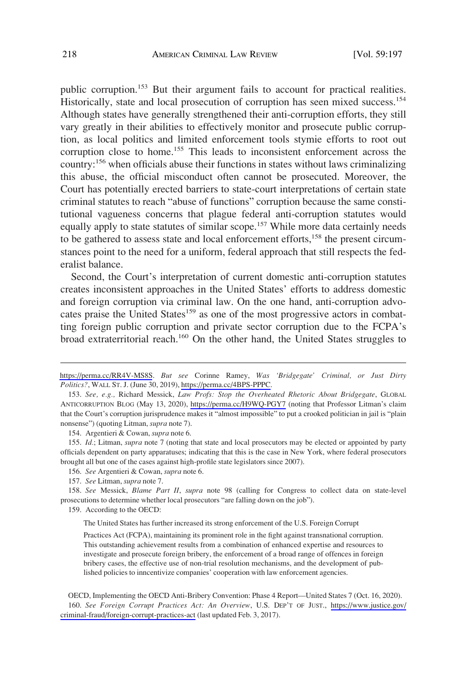public corruption.<sup>153</sup> But their argument fails to account for practical realities. Historically, state and local prosecution of corruption has seen mixed success.154 Although states have generally strengthened their anti-corruption efforts, they still vary greatly in their abilities to effectively monitor and prosecute public corruption, as local politics and limited enforcement tools stymie efforts to root out corruption close to home.<sup>155</sup> This leads to inconsistent enforcement across the country:156 when officials abuse their functions in states without laws criminalizing this abuse, the official misconduct often cannot be prosecuted. Moreover, the Court has potentially erected barriers to state-court interpretations of certain state criminal statutes to reach "abuse of functions" corruption because the same constitutional vagueness concerns that plague federal anti-corruption statutes would equally apply to state statutes of similar scope.<sup>157</sup> While more data certainly needs to be gathered to assess state and local enforcement efforts,<sup>158</sup> the present circumstances point to the need for a uniform, federal approach that still respects the federalist balance.

Second, the Court's interpretation of current domestic anti-corruption statutes creates inconsistent approaches in the United States' efforts to address domestic and foreign corruption via criminal law. On the one hand, anti-corruption advocates praise the United States<sup>159</sup> as one of the most progressive actors in combatting foreign public corruption and private sector corruption due to the FCPA's broad extraterritorial reach.<sup>160</sup> On the other hand, the United States struggles to

154. Argentieri & Cowan, *supra* note 6.

159. According to the OECD:

The United States has further increased its strong enforcement of the U.S. Foreign Corrupt

<https://perma.cc/RR4V-MS8S>. *But see* Corinne Ramey, *Was 'Bridgegate' Criminal, or Just Dirty Politics?*, WALL ST. J. (June 30, 2019), [https://perma.cc/4BPS-PPPC.](https://perma.cc/4BPS-PPPC)

*See, e.g.,* Richard Messick, *Law Profs: Stop the Overheated Rhetoric About Bridgegate*, GLOBAL 153. ANTICORRUPTION BLOG (May 13, 2020), <https://perma.cc/H9WQ-PGY7>(noting that Professor Litman's claim that the Court's corruption jurisprudence makes it "almost impossible" to put a crooked politician in jail is "plain nonsense") (quoting Litman, *supra* note 7).

<sup>155.</sup> *Id.*; Litman, *supra* note 7 (noting that state and local prosecutors may be elected or appointed by party officials dependent on party apparatuses; indicating that this is the case in New York, where federal prosecutors brought all but one of the cases against high-profile state legislators since 2007).

<sup>156.</sup> *See* Argentieri & Cowan, *supra* note 6.

<sup>157.</sup> *See* Litman, *supra* note 7.

<sup>158.</sup> *See* Messick, *Blame Part II*, *supra* note 98 (calling for Congress to collect data on state-level prosecutions to determine whether local prosecutors "are falling down on the job").

Practices Act (FCPA), maintaining its prominent role in the fight against transnational corruption. This outstanding achievement results from a combination of enhanced expertise and resources to investigate and prosecute foreign bribery, the enforcement of a broad range of offences in foreign bribery cases, the effective use of non-trial resolution mechanisms, and the development of published policies to inncentivize companies' cooperation with law enforcement agencies.

*See Foreign Corrupt Practices Act: An Overview*, U.S. DEP'T OF JUST., [https://www.justice.gov/](https://www.justice.gov/criminal-fraud/foreign-corrupt-practices-act)  160. [criminal-fraud/foreign-corrupt-practices-act](https://www.justice.gov/criminal-fraud/foreign-corrupt-practices-act) (last updated Feb. 3, 2017). OECD, Implementing the OECD Anti-Bribery Convention: Phase 4 Report—United States 7 (Oct. 16, 2020).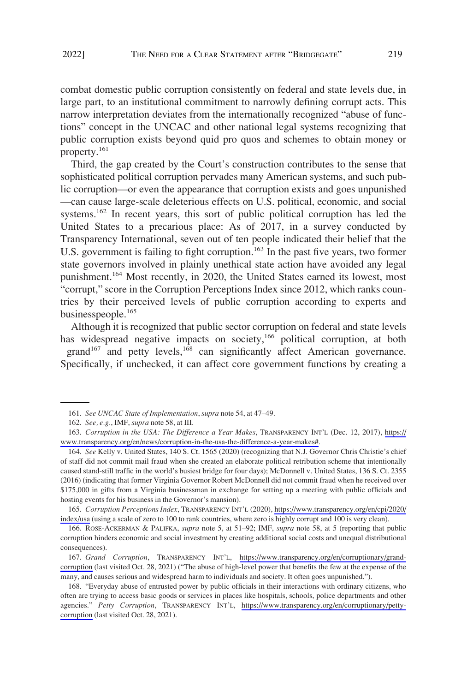combat domestic public corruption consistently on federal and state levels due, in large part, to an institutional commitment to narrowly defining corrupt acts. This narrow interpretation deviates from the internationally recognized "abuse of functions" concept in the UNCAC and other national legal systems recognizing that public corruption exists beyond quid pro quos and schemes to obtain money or property.161

Third, the gap created by the Court's construction contributes to the sense that sophisticated political corruption pervades many American systems, and such public corruption—or even the appearance that corruption exists and goes unpunished —can cause large-scale deleterious effects on U.S. political, economic, and social systems.<sup>162</sup> In recent years, this sort of public political corruption has led the United States to a precarious place: As of 2017, in a survey conducted by Transparency International, seven out of ten people indicated their belief that the U.S. government is failing to fight corruption.<sup>163</sup> In the past five years, two former state governors involved in plainly unethical state action have avoided any legal punishment.<sup>164</sup> Most recently, in 2020, the United States earned its lowest, most "corrupt," score in the Corruption Perceptions Index since 2012, which ranks countries by their perceived levels of public corruption according to experts and businesspeople.<sup>165</sup>

Although it is recognized that public sector corruption on federal and state levels has widespread negative impacts on society,<sup>166</sup> political corruption, at both grand<sup>167</sup> and petty levels,<sup>168</sup> can significantly affect American governance. Specifically, if unchecked, it can affect core government functions by creating a

*Corruption Perceptions Index*, TRANSPARENCY INT'L (2020), [https://www.transparency.org/en/cpi/2020/](https://www.transparency.org/en/cpi/2020/index/usa) 165. [index/usa](https://www.transparency.org/en/cpi/2020/index/usa) (using a scale of zero to 100 to rank countries, where zero is highly corrupt and 100 is very clean).

166. ROSE-ACKERMAN & PALIFKA, *supra* note 5, at 51–92; IMF, *supra* note 58, at 5 (reporting that public corruption hinders economic and social investment by creating additional social costs and unequal distributional consequences).

*Grand Corruption*, TRANSPARENCY INT'L, [https://www.transparency.org/en/corruptionary/grand-](https://www.transparency.org/en/corruptionary/grand-corruption)167. [corruption](https://www.transparency.org/en/corruptionary/grand-corruption) (last visited Oct. 28, 2021) ("The abuse of high-level power that benefits the few at the expense of the many, and causes serious and widespread harm to individuals and society. It often goes unpunished.").

<sup>161.</sup> *See UNCAC State of Implementation*, *supra* note 54, at 47–49.

<sup>162.</sup> *See, e.g.*, IMF, *supra* note 58, at III.

*Corruption in the USA: The Difference a Year Makes*, TRANSPARENCY INT'L (Dec. 12, 2017), [https://](https://www.transparency.org/en/news/corruption-in-the-usa-the-difference-a-year-makes#) 163. [www.transparency.org/en/news/corruption-in-the-usa-the-difference-a-year-makes#.](https://www.transparency.org/en/news/corruption-in-the-usa-the-difference-a-year-makes#)

<sup>164.</sup> *See* Kelly v. United States, 140 S. Ct. 1565 (2020) (recognizing that N.J. Governor Chris Christie's chief of staff did not commit mail fraud when she created an elaborate political retribution scheme that intentionally caused stand-still traffic in the world's busiest bridge for four days); McDonnell v. United States, 136 S. Ct. 2355 (2016) (indicating that former Virginia Governor Robert McDonnell did not commit fraud when he received over \$175,000 in gifts from a Virginia businessman in exchange for setting up a meeting with public officials and hosting events for his business in the Governor's mansion).

<sup>168. &</sup>quot;Everyday abuse of entrusted power by public officials in their interactions with ordinary citizens, who often are trying to access basic goods or services in places like hospitals, schools, police departments and other agencies." *Petty Corruption*, TRANSPARENCY INT'L, [https://www.transparency.org/en/corruptionary/petty](https://www.transparency.org/en/corruptionary/petty-corruption)[corruption](https://www.transparency.org/en/corruptionary/petty-corruption) (last visited Oct. 28, 2021).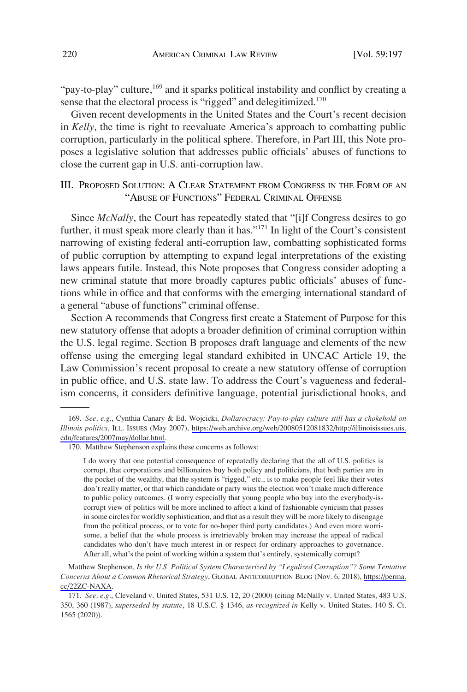<span id="page-23-0"></span>"pay-to-play" culture,<sup>169</sup> and it sparks political instability and conflict by creating a sense that the electoral process is "rigged" and delegitimized.<sup>170</sup>

Given recent developments in the United States and the Court's recent decision in *Kelly*, the time is right to reevaluate America's approach to combatting public corruption, particularly in the political sphere. Therefore, in Part III, this Note proposes a legislative solution that addresses public officials' abuses of functions to close the current gap in U.S. anti-corruption law.

# III. PROPOSED SOLUTION: A CLEAR STATEMENT FROM CONGRESS IN THE FORM OF AN "ABUSE OF FUNCTIONS" FEDERAL CRIMINAL OFFENSE

Since *McNally*, the Court has repeatedly stated that "[i]f Congress desires to go further, it must speak more clearly than it has."<sup>171</sup> In light of the Court's consistent narrowing of existing federal anti-corruption law, combatting sophisticated forms of public corruption by attempting to expand legal interpretations of the existing laws appears futile. Instead, this Note proposes that Congress consider adopting a new criminal statute that more broadly captures public officials' abuses of functions while in office and that conforms with the emerging international standard of a general "abuse of functions" criminal offense.

Section A recommends that Congress first create a Statement of Purpose for this new statutory offense that adopts a broader definition of criminal corruption within the U.S. legal regime. Section B proposes draft language and elements of the new offense using the emerging legal standard exhibited in UNCAC Article 19, the Law Commission's recent proposal to create a new statutory offense of corruption in public office, and U.S. state law. To address the Court's vagueness and federalism concerns, it considers definitive language, potential jurisdictional hooks, and

I do worry that one potential consequence of repeatedly declaring that the all of U.S. politics is corrupt, that corporations and billionaires buy both policy and politicians, that both parties are in the pocket of the wealthy, that the system is "rigged," etc., is to make people feel like their votes don't really matter, or that which candidate or party wins the election won't make much difference to public policy outcomes. (I worry especially that young people who buy into the everybody-iscorrupt view of politics will be more inclined to affect a kind of fashionable cynicism that passes in some circles for worldly sophistication, and that as a result they will be more likely to disengage from the political process, or to vote for no-hoper third party candidates.) And even more worrisome, a belief that the whole process is irretrievably broken may increase the appeal of radical candidates who don't have much interest in or respect for ordinary approaches to governance. After all, what's the point of working within a system that's entirely, systemically corrupt?

Matthew Stephenson, *Is the U.S. Political System Characterized by "Legalized Corruption"? Some Tentative Concerns About a Common Rhetorical Strategy*, GLOBAL ANTICORRUPTION BLOG (Nov. 6, 2018), [https://perma.](https://perma.cc/22ZC-NAXA) [cc/22ZC-NAXA](https://perma.cc/22ZC-NAXA).

171. *See, e.g.*, Cleveland v. United States, 531 U.S. 12, 20 (2000) (citing McNally v. United States, 483 U.S. 350, 360 (1987), *superseded by statute*, 18 U.S.C. § 1346, *as recognized in* Kelly v. United States, 140 S. Ct. 1565 (2020)).

*See, e.g.*, Cynthia Canary & Ed. Wojcicki, *Dollarocracy: Pay-to-play culture still has a chokehold on*  169. *Illinois politics*, ILL. ISSUES (May 2007), [https://web.archive.org/web/20080512081832/http://illinoisissues.uis.](https://web.archive.org/web/20080512081832/http://illinoisissues.uis.edu/features/2007may/dollar.html) [edu/features/2007may/dollar.html.](https://web.archive.org/web/20080512081832/http://illinoisissues.uis.edu/features/2007may/dollar.html)

<sup>170.</sup> Matthew Stephenson explains these concerns as follows: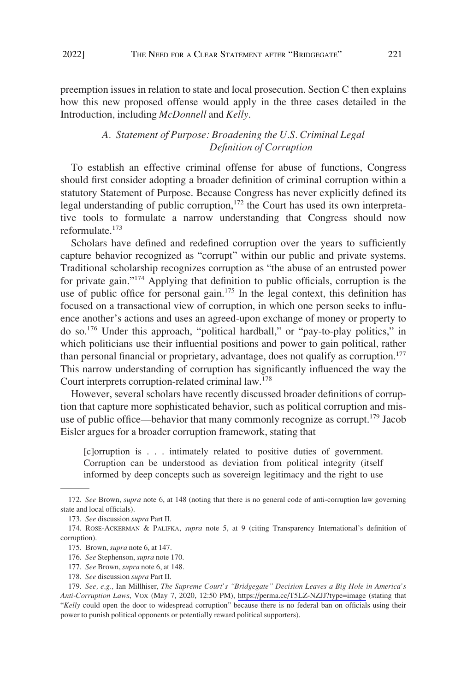<span id="page-24-0"></span>preemption issues in relation to state and local prosecution. Section C then explains how this new proposed offense would apply in the three cases detailed in the Introduction, including *McDonnell* and *Kelly*.

## *A. Statement of Purpose: Broadening the U.S. Criminal Legal Definition of Corruption*

To establish an effective criminal offense for abuse of functions, Congress should first consider adopting a broader definition of criminal corruption within a statutory Statement of Purpose. Because Congress has never explicitly defined its legal understanding of public corruption,<sup>172</sup> the Court has used its own interpretative tools to formulate a narrow understanding that Congress should now reformulate. $173$ 

Scholars have defined and redefined corruption over the years to sufficiently capture behavior recognized as "corrupt" within our public and private systems. Traditional scholarship recognizes corruption as "the abuse of an entrusted power for private gain."174 Applying that definition to public officials, corruption is the use of public office for personal gain.<sup>175</sup> In the legal context, this definition has focused on a transactional view of corruption, in which one person seeks to influence another's actions and uses an agreed-upon exchange of money or property to do so.176 Under this approach, "political hardball," or "pay-to-play politics," in which politicians use their influential positions and power to gain political, rather than personal financial or proprietary, advantage, does not qualify as corruption.<sup>177</sup> This narrow understanding of corruption has significantly influenced the way the Court interprets corruption-related criminal law.178

However, several scholars have recently discussed broader definitions of corruption that capture more sophisticated behavior, such as political corruption and misuse of public office—behavior that many commonly recognize as corrupt.<sup>179</sup> Jacob Eisler argues for a broader corruption framework, stating that

[c]orruption is . . . intimately related to positive duties of government. Corruption can be understood as deviation from political integrity (itself informed by deep concepts such as sovereign legitimacy and the right to use

177. *See* Brown, *supra* note 6, at 148.

<sup>172.</sup> *See* Brown, *supra* note 6, at 148 (noting that there is no general code of anti-corruption law governing state and local officials).

<sup>173.</sup> *See* discussion *supra* Part II.

<sup>174.</sup> ROSE-ACKERMAN & PALIFKA, *supra* note 5, at 9 (citing Transparency International's definition of corruption).

<sup>175.</sup> Brown, *supra* note 6, at 147.

<sup>176.</sup> *See* Stephenson, *supra* note 170.

<sup>178.</sup> *See* discussion *supra* Part II.

*See, e.g.,* Ian Millhiser, *The Supreme Court's "Bridgegate" Decision Leaves a Big Hole in America's*  179. *Anti-Corruption Laws*, VOX (May 7, 2020, 12:50 PM), <https://perma.cc/T5LZ-NZJJ?type=image> (stating that "*Kelly* could open the door to widespread corruption" because there is no federal ban on officials using their power to punish political opponents or potentially reward political supporters).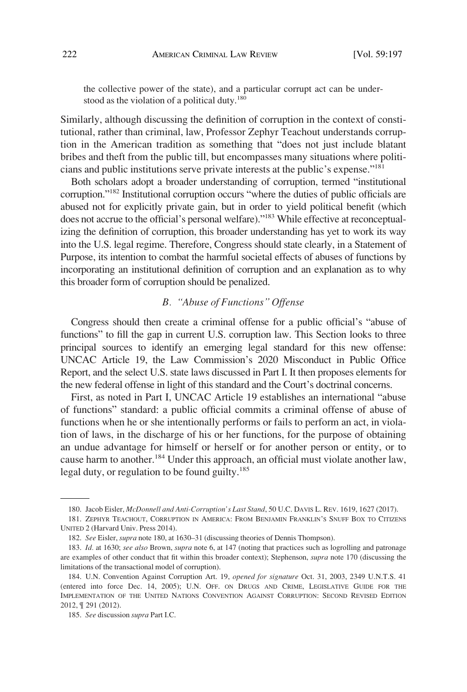<span id="page-25-0"></span>the collective power of the state), and a particular corrupt act can be understood as the violation of a political duty.<sup>180</sup>

Similarly, although discussing the definition of corruption in the context of constitutional, rather than criminal, law, Professor Zephyr Teachout understands corruption in the American tradition as something that "does not just include blatant bribes and theft from the public till, but encompasses many situations where politicians and public institutions serve private interests at the public's expense."<sup>181</sup>

Both scholars adopt a broader understanding of corruption, termed "institutional corruption."182 Institutional corruption occurs "where the duties of public officials are abused not for explicitly private gain, but in order to yield political benefit (which does not accrue to the official's personal welfare)."183 While effective at reconceptualizing the definition of corruption, this broader understanding has yet to work its way into the U.S. legal regime. Therefore, Congress should state clearly, in a Statement of Purpose, its intention to combat the harmful societal effects of abuses of functions by incorporating an institutional definition of corruption and an explanation as to why this broader form of corruption should be penalized.

# *B. "Abuse of Functions" Offense*

Congress should then create a criminal offense for a public official's "abuse of functions" to fill the gap in current U.S. corruption law. This Section looks to three principal sources to identify an emerging legal standard for this new offense: UNCAC Article 19, the Law Commission's 2020 Misconduct in Public Office Report, and the select U.S. state laws discussed in Part I. It then proposes elements for the new federal offense in light of this standard and the Court's doctrinal concerns.

First, as noted in Part I, UNCAC Article 19 establishes an international "abuse of functions" standard: a public official commits a criminal offense of abuse of functions when he or she intentionally performs or fails to perform an act, in violation of laws, in the discharge of his or her functions, for the purpose of obtaining an undue advantage for himself or herself or for another person or entity, or to cause harm to another.<sup>184</sup> Under this approach, an official must violate another law, legal duty, or regulation to be found guilty.<sup>185</sup>

<sup>180.</sup> Jacob Eisler, *McDonnell and Anti-Corruption's Last Stand*, 50 U.C. DAVIS L. REV. 1619, 1627 (2017).

<sup>181.</sup> ZEPHYR TEACHOUT, CORRUPTION IN AMERICA: FROM BENJAMIN FRANKLIN'S SNUFF BOX TO CITIZENS UNITED 2 (Harvard Univ. Press 2014).

<sup>182.</sup> *See* Eisler, *supra* note 180, at 1630–31 (discussing theories of Dennis Thompson).

<sup>183.</sup> *Id.* at 1630; *see also* Brown, *supra* note 6, at 147 (noting that practices such as logrolling and patronage are examples of other conduct that fit within this broader context); Stephenson, *supra* note 170 (discussing the limitations of the transactional model of corruption).

<sup>184.</sup> U.N. Convention Against Corruption Art. 19, *opened for signature* Oct. 31, 2003, 2349 U.N.T.S. 41 (entered into force Dec. 14, 2005); U.N. OFF. ON DRUGS AND CRIME, LEGISLATIVE GUIDE FOR THE IMPLEMENTATION OF THE UNITED NATIONS CONVENTION AGAINST CORRUPTION: SECOND REVISED EDITION 2012, ¶ 291 (2012).

<sup>185.</sup> *See* discussion *supra* Part I.C.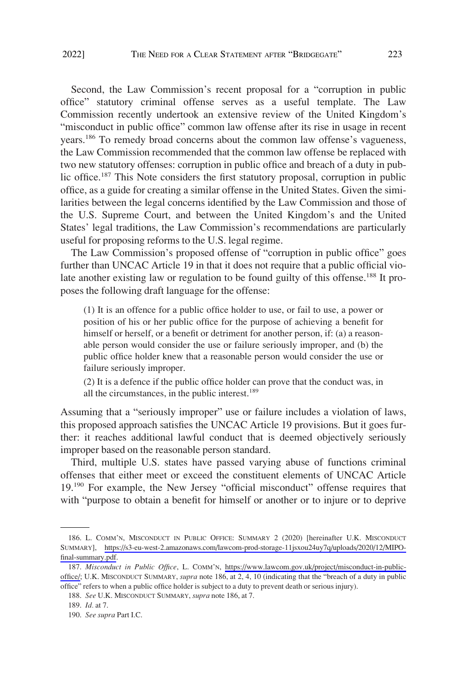Second, the Law Commission's recent proposal for a "corruption in public office" statutory criminal offense serves as a useful template. The Law Commission recently undertook an extensive review of the United Kingdom's "misconduct in public office" common law offense after its rise in usage in recent years.<sup>186</sup> To remedy broad concerns about the common law offense's vagueness, the Law Commission recommended that the common law offense be replaced with two new statutory offenses: corruption in public office and breach of a duty in public office.<sup>187</sup> This Note considers the first statutory proposal, corruption in public office, as a guide for creating a similar offense in the United States. Given the similarities between the legal concerns identified by the Law Commission and those of the U.S. Supreme Court, and between the United Kingdom's and the United States' legal traditions, the Law Commission's recommendations are particularly useful for proposing reforms to the U.S. legal regime.

The Law Commission's proposed offense of "corruption in public office" goes further than UNCAC Article 19 in that it does not require that a public official violate another existing law or regulation to be found guilty of this offense.<sup>188</sup> It proposes the following draft language for the offense:

(1) It is an offence for a public office holder to use, or fail to use, a power or position of his or her public office for the purpose of achieving a benefit for himself or herself, or a benefit or detriment for another person, if: (a) a reasonable person would consider the use or failure seriously improper, and (b) the public office holder knew that a reasonable person would consider the use or failure seriously improper.

(2) It is a defence if the public office holder can prove that the conduct was, in all the circumstances, in the public interest.<sup>189</sup>

Assuming that a "seriously improper" use or failure includes a violation of laws, this proposed approach satisfies the UNCAC Article 19 provisions. But it goes further: it reaches additional lawful conduct that is deemed objectively seriously improper based on the reasonable person standard.

Third, multiple U.S. states have passed varying abuse of functions criminal offenses that either meet or exceed the constituent elements of UNCAC Article 19.190 For example, the New Jersey "official misconduct" offense requires that with "purpose to obtain a benefit for himself or another or to injure or to deprive

<sup>186.</sup> L. COMM'N, MISCONDUCT IN PUBLIC OFFICE: SUMMARY 2 (2020) [hereinafter U.K. MISCONDUCT SUMMARY], [https://s3-eu-west-2.amazonaws.com/lawcom-prod-storage-11jsxou24uy7q/uploads/2020/12/MIPO](https://s3-eu-west-2.amazonaws.com/lawcom-prod-storage-11jsxou24uy7q/uploads/2020/12/MIPO-final-summary.pdf)[final-summary.pdf.](https://s3-eu-west-2.amazonaws.com/lawcom-prod-storage-11jsxou24uy7q/uploads/2020/12/MIPO-final-summary.pdf)

<sup>187.</sup> Misconduct in Public Office, L. COMM'N, [https://www.lawcom.gov.uk/project/misconduct-in-public](https://www.lawcom.gov.uk/project/misconduct-in-public-office/)[office/](https://www.lawcom.gov.uk/project/misconduct-in-public-office/); U.K. MISCONDUCT SUMMARY, *supra* note 186, at 2, 4, 10 (indicating that the "breach of a duty in public office" refers to when a public office holder is subject to a duty to prevent death or serious injury).

<sup>188.</sup> *See* U.K. MISCONDUCT SUMMARY, *supra* note 186, at 7.

<sup>189.</sup> *Id.* at 7.

<sup>190.</sup> *See supra* Part I.C.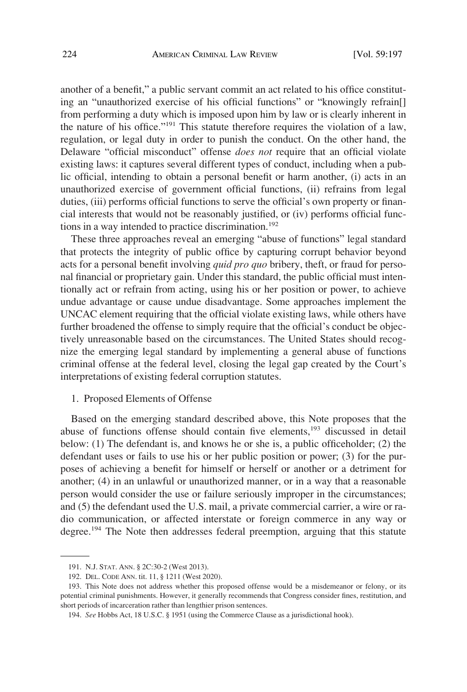<span id="page-27-0"></span>another of a benefit," a public servant commit an act related to his office constituting an "unauthorized exercise of his official functions" or "knowingly refrain[] from performing a duty which is imposed upon him by law or is clearly inherent in the nature of his office."191 This statute therefore requires the violation of a law, regulation, or legal duty in order to punish the conduct. On the other hand, the Delaware "official misconduct" offense *does not* require that an official violate existing laws: it captures several different types of conduct, including when a public official, intending to obtain a personal benefit or harm another, (i) acts in an unauthorized exercise of government official functions, (ii) refrains from legal duties, (iii) performs official functions to serve the official's own property or financial interests that would not be reasonably justified, or (iv) performs official functions in a way intended to practice discrimination.<sup>192</sup>

These three approaches reveal an emerging "abuse of functions" legal standard that protects the integrity of public office by capturing corrupt behavior beyond acts for a personal benefit involving *quid pro quo* bribery, theft, or fraud for personal financial or proprietary gain. Under this standard, the public official must intentionally act or refrain from acting, using his or her position or power, to achieve undue advantage or cause undue disadvantage. Some approaches implement the UNCAC element requiring that the official violate existing laws, while others have further broadened the offense to simply require that the official's conduct be objectively unreasonable based on the circumstances. The United States should recognize the emerging legal standard by implementing a general abuse of functions criminal offense at the federal level, closing the legal gap created by the Court's interpretations of existing federal corruption statutes.

#### 1. Proposed Elements of Offense

Based on the emerging standard described above, this Note proposes that the abuse of functions offense should contain five elements, $193$  discussed in detail below: (1) The defendant is, and knows he or she is, a public officeholder; (2) the defendant uses or fails to use his or her public position or power; (3) for the purposes of achieving a benefit for himself or herself or another or a detriment for another; (4) in an unlawful or unauthorized manner, or in a way that a reasonable person would consider the use or failure seriously improper in the circumstances; and (5) the defendant used the U.S. mail, a private commercial carrier, a wire or radio communication, or affected interstate or foreign commerce in any way or degree.<sup>194</sup> The Note then addresses federal preemption, arguing that this statute

<sup>191.</sup> N.J. STAT. ANN. § 2C:30-2 (West 2013).

<sup>192.</sup> DEL. CODE ANN. tit. 11, § 1211 (West 2020).

<sup>193.</sup> This Note does not address whether this proposed offense would be a misdemeanor or felony, or its potential criminal punishments. However, it generally recommends that Congress consider fines, restitution, and short periods of incarceration rather than lengthier prison sentences.

<sup>194.</sup> *See* Hobbs Act, 18 U.S.C. § 1951 (using the Commerce Clause as a jurisdictional hook).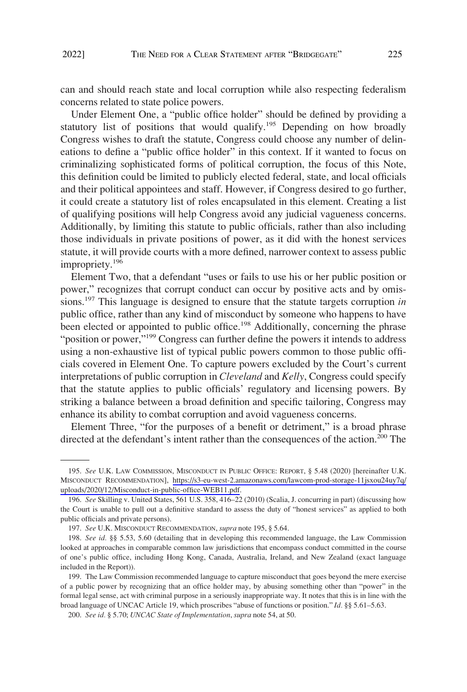can and should reach state and local corruption while also respecting federalism concerns related to state police powers.

Under Element One, a "public office holder" should be defined by providing a statutory list of positions that would qualify.<sup>195</sup> Depending on how broadly Congress wishes to draft the statute, Congress could choose any number of delineations to define a "public office holder" in this context. If it wanted to focus on criminalizing sophisticated forms of political corruption, the focus of this Note, this definition could be limited to publicly elected federal, state, and local officials and their political appointees and staff. However, if Congress desired to go further, it could create a statutory list of roles encapsulated in this element. Creating a list of qualifying positions will help Congress avoid any judicial vagueness concerns. Additionally, by limiting this statute to public officials, rather than also including those individuals in private positions of power, as it did with the honest services statute, it will provide courts with a more defined, narrower context to assess public impropriety.<sup>196</sup>

Element Two, that a defendant "uses or fails to use his or her public position or power," recognizes that corrupt conduct can occur by positive acts and by omissions.197 This language is designed to ensure that the statute targets corruption *in*  public office, rather than any kind of misconduct by someone who happens to have been elected or appointed to public office.<sup>198</sup> Additionally, concerning the phrase "position or power,"<sup>199</sup> Congress can further define the powers it intends to address using a non-exhaustive list of typical public powers common to those public officials covered in Element One. To capture powers excluded by the Court's current interpretations of public corruption in *Cleveland* and *Kelly*, Congress could specify that the statute applies to public officials' regulatory and licensing powers. By striking a balance between a broad definition and specific tailoring, Congress may enhance its ability to combat corruption and avoid vagueness concerns.

Element Three, "for the purposes of a benefit or detriment," is a broad phrase directed at the defendant's intent rather than the consequences of the action.<sup>200</sup> The

<sup>195.</sup> See U.K. LAW COMMISSION, MISCONDUCT IN PUBLIC OFFICE: REPORT, § 5.48 (2020) [hereinafter U.K. MISCONDUCT RECOMMENDATION], [https://s3-eu-west-2.amazonaws.com/lawcom-prod-storage-11jsxou24uy7q/](https://s3-eu-west-2.amazonaws.com/lawcom-prod-storage-11jsxou24uy7q/uploads/2020/12/Misconduct-in-public-office-WEB11.pdf) [uploads/2020/12/Misconduct-in-public-office-WEB11.pdf.](https://s3-eu-west-2.amazonaws.com/lawcom-prod-storage-11jsxou24uy7q/uploads/2020/12/Misconduct-in-public-office-WEB11.pdf)

<sup>196.</sup> *See* Skilling v. United States, 561 U.S. 358, 416–22 (2010) (Scalia, J. concurring in part) (discussing how the Court is unable to pull out a definitive standard to assess the duty of "honest services" as applied to both public officials and private persons).

<sup>197.</sup> *See* U.K. MISCONDUCT RECOMMENDATION, *supra* note 195, § 5.64.

<sup>198.</sup> *See id.* §§ 5.53, 5.60 (detailing that in developing this recommended language, the Law Commission looked at approaches in comparable common law jurisdictions that encompass conduct committed in the course of one's public office, including Hong Kong, Canada, Australia, Ireland, and New Zealand (exact language included in the Report)).

<sup>199.</sup> The Law Commission recommended language to capture misconduct that goes beyond the mere exercise of a public power by recognizing that an office holder may, by abusing something other than "power" in the formal legal sense, act with criminal purpose in a seriously inappropriate way. It notes that this is in line with the broad language of UNCAC Article 19, which proscribes "abuse of functions or position." *Id.* §§ 5.61–5.63.

<sup>200.</sup> *See id.* § 5.70; *UNCAC State of Implementation*, *supra* note 54, at 50.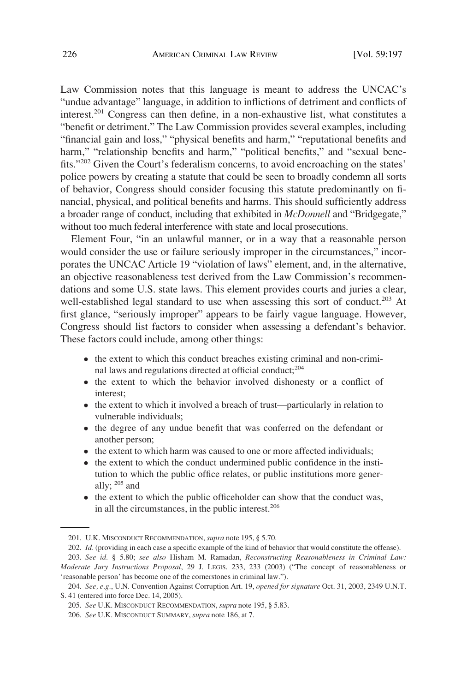Law Commission notes that this language is meant to address the UNCAC's "undue advantage" language, in addition to inflictions of detriment and conflicts of interest.<sup>201</sup> Congress can then define, in a non-exhaustive list, what constitutes a "benefit or detriment." The Law Commission provides several examples, including "financial gain and loss," "physical benefits and harm," "reputational benefits and harm," "relationship benefits and harm," "political benefits," and "sexual benefits."<sup>202</sup> Given the Court's federalism concerns, to avoid encroaching on the states' police powers by creating a statute that could be seen to broadly condemn all sorts of behavior, Congress should consider focusing this statute predominantly on financial, physical, and political benefits and harms. This should sufficiently address a broader range of conduct, including that exhibited in *McDonnell* and "Bridgegate," without too much federal interference with state and local prosecutions.

Element Four, "in an unlawful manner, or in a way that a reasonable person would consider the use or failure seriously improper in the circumstances," incorporates the UNCAC Article 19 "violation of laws" element, and, in the alternative, an objective reasonableness test derived from the Law Commission's recommendations and some U.S. state laws. This element provides courts and juries a clear, well-established legal standard to use when assessing this sort of conduct.<sup>203</sup> At first glance, "seriously improper" appears to be fairly vague language. However, Congress should list factors to consider when assessing a defendant's behavior. These factors could include, among other things:

- the extent to which this conduct breaches existing criminal and non-criminal laws and regulations directed at official conduct;<sup>204</sup>
- � the extent to which the behavior involved dishonesty or a conflict of interest;
- � the extent to which it involved a breach of trust—particularly in relation to vulnerable individuals;
- � the degree of any undue benefit that was conferred on the defendant or another person;
- � the extent to which harm was caused to one or more affected individuals;
- � the extent to which the conduct undermined public confidence in the institution to which the public office relates, or public institutions more generally; 205 and
- � the extent to which the public officeholder can show that the conduct was, in all the circumstances, in the public interest.<sup>206</sup>

<sup>201.</sup> U.K. MISCONDUCT RECOMMENDATION, *supra* note 195, § 5.70.

<sup>202.</sup> *Id.* (providing in each case a specific example of the kind of behavior that would constitute the offense).

<sup>203.</sup> *See id.* § 5.80; *see also* Hisham M. Ramadan, *Reconstructing Reasonableness in Criminal Law: Moderate Jury Instructions Proposal*, 29 J. LEGIS. 233, 233 (2003) ("The concept of reasonableness or 'reasonable person' has become one of the cornerstones in criminal law.").

<sup>204.</sup> *See, e.g.*, U.N. Convention Against Corruption Art. 19, *opened for signature* Oct. 31, 2003, 2349 U.N.T. S. 41 (entered into force Dec. 14, 2005).

<sup>205.</sup> *See* U.K. MISCONDUCT RECOMMENDATION, *supra* note 195, § 5.83.

<sup>206.</sup> *See* U.K. MISCONDUCT SUMMARY, *supra* note 186, at 7.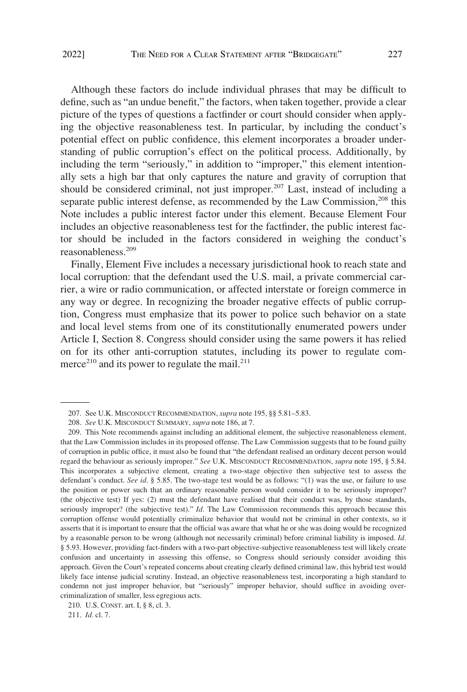Although these factors do include individual phrases that may be difficult to define, such as "an undue benefit," the factors, when taken together, provide a clear picture of the types of questions a factfinder or court should consider when applying the objective reasonableness test. In particular, by including the conduct's potential effect on public confidence, this element incorporates a broader understanding of public corruption's effect on the political process. Additionally, by including the term "seriously," in addition to "improper," this element intentionally sets a high bar that only captures the nature and gravity of corruption that should be considered criminal, not just improper.<sup>207</sup> Last, instead of including a separate public interest defense, as recommended by the Law Commission,<sup>208</sup> this Note includes a public interest factor under this element. Because Element Four includes an objective reasonableness test for the factfinder, the public interest factor should be included in the factors considered in weighing the conduct's reasonableness.<sup>209</sup>

Finally, Element Five includes a necessary jurisdictional hook to reach state and local corruption: that the defendant used the U.S. mail, a private commercial carrier, a wire or radio communication, or affected interstate or foreign commerce in any way or degree. In recognizing the broader negative effects of public corruption, Congress must emphasize that its power to police such behavior on a state and local level stems from one of its constitutionally enumerated powers under Article I, Section 8. Congress should consider using the same powers it has relied on for its other anti-corruption statutes, including its power to regulate commerce<sup>210</sup> and its power to regulate the mail.<sup>211</sup>

<sup>207.</sup> See U.K. MISCONDUCT RECOMMENDATION, *supra* note 195, §§ 5.81–5.83.

<sup>208.</sup> *See* U.K. MISCONDUCT SUMMARY, *supra* note 186, at 7.

<sup>209.</sup> This Note recommends against including an additional element, the subjective reasonableness element, that the Law Commission includes in its proposed offense. The Law Commission suggests that to be found guilty of corruption in public office, it must also be found that "the defendant realised an ordinary decent person would regard the behaviour as seriously improper." *See* U.K. MISCONDUCT RECOMMENDATION, *supra* note 195, § 5.84. This incorporates a subjective element, creating a two-stage objective then subjective test to assess the defendant's conduct. *See id*. § 5.85. The two-stage test would be as follows: "(1) was the use, or failure to use the position or power such that an ordinary reasonable person would consider it to be seriously improper? (the objective test) If yes: (2) must the defendant have realised that their conduct was, by those standards, seriously improper? (the subjective test)." *Id.* The Law Commission recommends this approach because this corruption offense would potentially criminalize behavior that would not be criminal in other contexts, so it asserts that it is important to ensure that the official was aware that what he or she was doing would be recognized by a reasonable person to be wrong (although not necessarily criminal) before criminal liability is imposed. *Id.*  § 5.93. However, providing fact-finders with a two-part objective-subjective reasonableness test will likely create confusion and uncertainty in assessing this offense, so Congress should seriously consider avoiding this approach. Given the Court's repeated concerns about creating clearly defined criminal law, this hybrid test would likely face intense judicial scrutiny. Instead, an objective reasonableness test, incorporating a high standard to condemn not just improper behavior, but "seriously" improper behavior, should suffice in avoiding overcriminalization of smaller, less egregious acts.

<sup>210.</sup> U.S. CONST. art. I, § 8, cl. 3.

<sup>211.</sup> *Id.* cl. 7.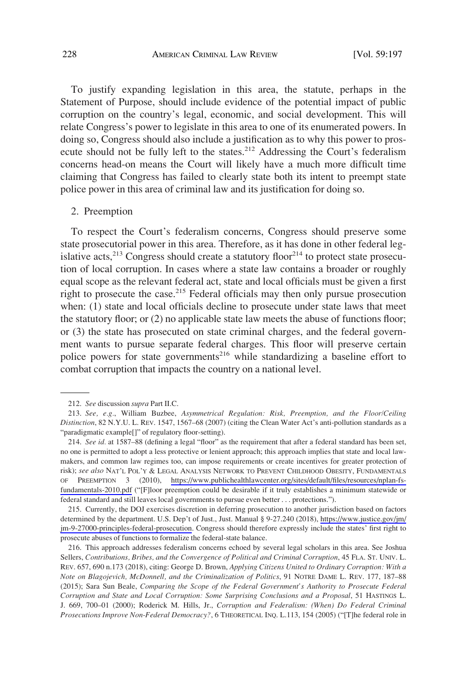<span id="page-31-0"></span>To justify expanding legislation in this area, the statute, perhaps in the Statement of Purpose, should include evidence of the potential impact of public corruption on the country's legal, economic, and social development. This will relate Congress's power to legislate in this area to one of its enumerated powers. In doing so, Congress should also include a justification as to why this power to prosecute should not be fully left to the states.<sup>212</sup> Addressing the Court's federalism concerns head-on means the Court will likely have a much more difficult time claiming that Congress has failed to clearly state both its intent to preempt state police power in this area of criminal law and its justification for doing so.

#### 2. Preemption

To respect the Court's federalism concerns, Congress should preserve some state prosecutorial power in this area. Therefore, as it has done in other federal legislative acts,<sup>213</sup> Congress should create a statutory floor<sup>214</sup> to protect state prosecution of local corruption. In cases where a state law contains a broader or roughly equal scope as the relevant federal act, state and local officials must be given a first right to prosecute the case.<sup>215</sup> Federal officials may then only pursue prosecution when: (1) state and local officials decline to prosecute under state laws that meet the statutory floor; or (2) no applicable state law meets the abuse of functions floor; or (3) the state has prosecuted on state criminal charges, and the federal government wants to pursue separate federal charges. This floor will preserve certain police powers for state governments<sup>216</sup> while standardizing a baseline effort to combat corruption that impacts the country on a national level.

214. See id. at 1587–88 (defining a legal "floor" as the requirement that after a federal standard has been set, no one is permitted to adopt a less protective or lenient approach; this approach implies that state and local lawmakers, and common law regimes too, can impose requirements or create incentives for greater protection of risk); *see also* NAT'L POL'Y & LEGAL ANALYSIS NETWORK TO PREVENT CHILDHOOD OBESITY, FUNDAMENTALS OF PREEMPTION 3 (2010), [https://www.publichealthlawcenter.org/sites/default/files/resources/nplan-fs](https://www.publichealthlawcenter.org/sites/default/files/resources/nplan-fs-fundamentals-2010.pdf)[fundamentals-2010.pdf](https://www.publichealthlawcenter.org/sites/default/files/resources/nplan-fs-fundamentals-2010.pdf) ("[F]loor preemption could be desirable if it truly establishes a minimum statewide or federal standard and still leaves local governments to pursue even better . . . protections.").

215. Currently, the DOJ exercises discretion in deferring prosecution to another jurisdiction based on factors determined by the department. U.S. Dep't of Just., Just. Manual § 9-27.240 (2018), [https://www.justice.gov/jm/](https://www.justice.gov/jm/jm-9-27000-principles-federal-prosecution) [jm-9-27000-principles-federal-prosecution.](https://www.justice.gov/jm/jm-9-27000-principles-federal-prosecution) Congress should therefore expressly include the states' first right to prosecute abuses of functions to formalize the federal-state balance.

216. This approach addresses federalism concerns echoed by several legal scholars in this area. See Joshua Sellers, *Contributions, Bribes, and the Convergence of Political and Criminal Corruption*, 45 FLA. ST. UNIV. L. REV. 657, 690 n.173 (2018), citing: George D. Brown, *Applying Citizens United to Ordinary Corruption: With a Note on Blagojevich, McDonnell, and the Criminalization of Politics*, 91 NOTRE DAME L. REV. 177, 187–88 (2015); Sara Sun Beale, *Comparing the Scope of the Federal Government's Authority to Prosecute Federal Corruption and State and Local Corruption: Some Surprising Conclusions and a Proposal*, 51 HASTINGS L. J. 669, 700–01 (2000); Roderick M. Hills, Jr., *Corruption and Federalism: (When) Do Federal Criminal Prosecutions Improve Non-Federal Democracy?*, 6 THEORETICAL INQ. L.113, 154 (2005) ("[T]he federal role in

<sup>212.</sup> *See* discussion *supra* Part II.C.

<sup>213.</sup> *See, e.g.*, William Buzbee, *Asymmetrical Regulation: Risk, Preemption, and the Floor/Ceiling Distinction*, 82 N.Y.U. L. REV. 1547, 1567–68 (2007) (citing the Clean Water Act's anti-pollution standards as a "paradigmatic example[]" of regulatory floor-setting).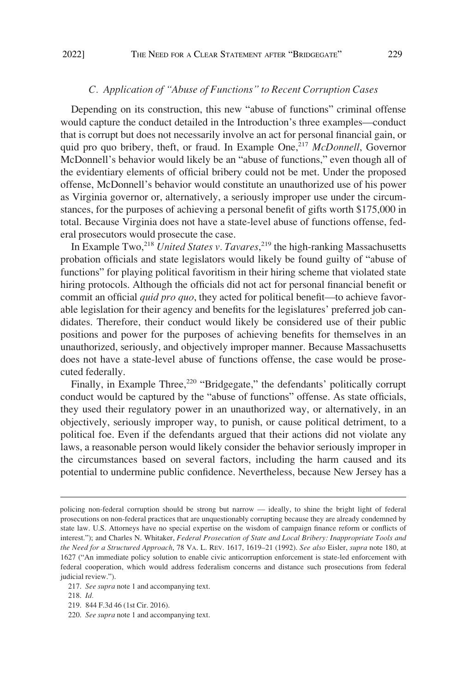# *C. Application of "Abuse of Functions" to Recent Corruption Cases*

<span id="page-32-0"></span>Depending on its construction, this new "abuse of functions" criminal offense would capture the conduct detailed in the Introduction's three examples—conduct that is corrupt but does not necessarily involve an act for personal financial gain, or quid pro quo bribery, theft, or fraud. In Example One,<sup>217</sup> *McDonnell*, Governor McDonnell's behavior would likely be an "abuse of functions," even though all of the evidentiary elements of official bribery could not be met. Under the proposed offense, McDonnell's behavior would constitute an unauthorized use of his power as Virginia governor or, alternatively, a seriously improper use under the circumstances, for the purposes of achieving a personal benefit of gifts worth \$175,000 in total. Because Virginia does not have a state-level abuse of functions offense, federal prosecutors would prosecute the case.

In Example Two,218 *United States v. Tavares*, 219 the high-ranking Massachusetts probation officials and state legislators would likely be found guilty of "abuse of functions" for playing political favoritism in their hiring scheme that violated state hiring protocols. Although the officials did not act for personal financial benefit or commit an official *quid pro quo*, they acted for political benefit—to achieve favorable legislation for their agency and benefits for the legislatures' preferred job candidates. Therefore, their conduct would likely be considered use of their public positions and power for the purposes of achieving benefits for themselves in an unauthorized, seriously, and objectively improper manner. Because Massachusetts does not have a state-level abuse of functions offense, the case would be prosecuted federally.

Finally, in Example Three, $220$  "Bridgegate," the defendants' politically corrupt conduct would be captured by the "abuse of functions" offense. As state officials, they used their regulatory power in an unauthorized way, or alternatively, in an objectively, seriously improper way, to punish, or cause political detriment, to a political foe. Even if the defendants argued that their actions did not violate any laws, a reasonable person would likely consider the behavior seriously improper in the circumstances based on several factors, including the harm caused and its potential to undermine public confidence. Nevertheless, because New Jersey has a

219. 844 F.3d 46 (1st Cir. 2016).

policing non-federal corruption should be strong but narrow — ideally, to shine the bright light of federal prosecutions on non-federal practices that are unquestionably corrupting because they are already condemned by state law. U.S. Attorneys have no special expertise on the wisdom of campaign finance reform or conflicts of interest."); and Charles N. Whitaker, *Federal Prosecution of State and Local Bribery: Inappropriate Tools and the Need for a Structured Approach*, 78 VA. L. REV. 1617, 1619–21 (1992). *See also* Eisler, *supra* note 180, at 1627 ("An immediate policy solution to enable civic anticorruption enforcement is state-led enforcement with federal cooperation, which would address federalism concerns and distance such prosecutions from federal judicial review.").

<sup>217.</sup> *See supra* note 1 and accompanying text.

<sup>218.</sup> *Id.* 

<sup>220.</sup> *See supra* note 1 and accompanying text.